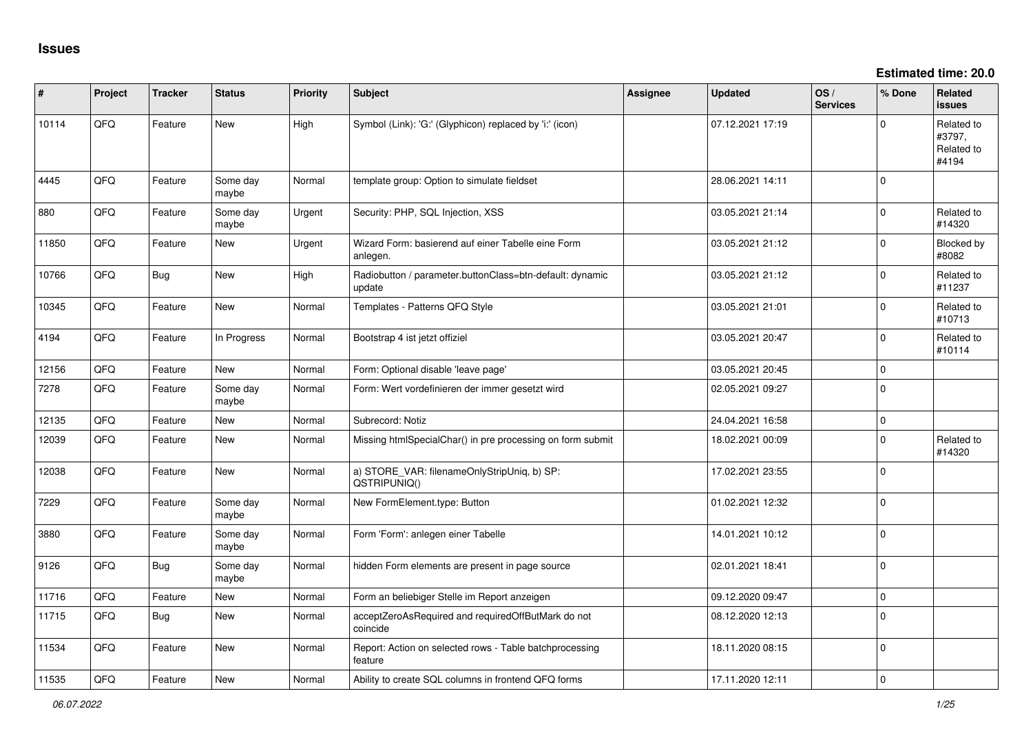**Estimated time: 20.0**

| #     | Project | <b>Tracker</b> | <b>Status</b>     | <b>Priority</b> | <b>Subject</b>                                                     | <b>Assignee</b> | <b>Updated</b>   | OS/<br><b>Services</b> | % Done              | Related<br><b>issues</b>                    |
|-------|---------|----------------|-------------------|-----------------|--------------------------------------------------------------------|-----------------|------------------|------------------------|---------------------|---------------------------------------------|
| 10114 | QFQ     | Feature        | <b>New</b>        | High            | Symbol (Link): 'G:' (Glyphicon) replaced by 'i:' (icon)            |                 | 07.12.2021 17:19 |                        | $\mathbf 0$         | Related to<br>#3797,<br>Related to<br>#4194 |
| 4445  | QFQ     | Feature        | Some day<br>maybe | Normal          | template group: Option to simulate fieldset                        |                 | 28.06.2021 14:11 |                        | $\mathbf 0$         |                                             |
| 880   | QFQ     | Feature        | Some day<br>maybe | Urgent          | Security: PHP, SQL Injection, XSS                                  |                 | 03.05.2021 21:14 |                        | $\mathbf{0}$        | Related to<br>#14320                        |
| 11850 | QFQ     | Feature        | New               | Urgent          | Wizard Form: basierend auf einer Tabelle eine Form<br>anlegen.     |                 | 03.05.2021 21:12 |                        | $\mathbf{0}$        | Blocked by<br>#8082                         |
| 10766 | QFQ     | Bug            | New               | High            | Radiobutton / parameter.buttonClass=btn-default: dynamic<br>update |                 | 03.05.2021 21:12 |                        | $\mathbf 0$         | Related to<br>#11237                        |
| 10345 | QFQ     | Feature        | <b>New</b>        | Normal          | Templates - Patterns QFQ Style                                     |                 | 03.05.2021 21:01 |                        | $\Omega$            | Related to<br>#10713                        |
| 4194  | QFQ     | Feature        | In Progress       | Normal          | Bootstrap 4 ist jetzt offiziel                                     |                 | 03.05.2021 20:47 |                        | $\Omega$            | Related to<br>#10114                        |
| 12156 | QFQ     | Feature        | <b>New</b>        | Normal          | Form: Optional disable 'leave page'                                |                 | 03.05.2021 20:45 |                        | $\mathbf{0}$        |                                             |
| 7278  | QFQ     | Feature        | Some day<br>maybe | Normal          | Form: Wert vordefinieren der immer gesetzt wird                    |                 | 02.05.2021 09:27 |                        | $\mathbf 0$         |                                             |
| 12135 | QFQ     | Feature        | <b>New</b>        | Normal          | Subrecord: Notiz                                                   |                 | 24.04.2021 16:58 |                        | $\mathsf{O}\xspace$ |                                             |
| 12039 | QFQ     | Feature        | New               | Normal          | Missing htmlSpecialChar() in pre processing on form submit         |                 | 18.02.2021 00:09 |                        | $\Omega$            | Related to<br>#14320                        |
| 12038 | QFQ     | Feature        | New               | Normal          | a) STORE_VAR: filenameOnlyStripUniq, b) SP:<br>QSTRIPUNIQ()        |                 | 17.02.2021 23:55 |                        | $\mathbf 0$         |                                             |
| 7229  | QFQ     | Feature        | Some day<br>maybe | Normal          | New FormElement.type: Button                                       |                 | 01.02.2021 12:32 |                        | $\mathbf 0$         |                                             |
| 3880  | QFQ     | Feature        | Some day<br>maybe | Normal          | Form 'Form': anlegen einer Tabelle                                 |                 | 14.01.2021 10:12 |                        | $\mathbf{0}$        |                                             |
| 9126  | QFQ     | Bug            | Some day<br>maybe | Normal          | hidden Form elements are present in page source                    |                 | 02.01.2021 18:41 |                        | $\mathbf 0$         |                                             |
| 11716 | QFQ     | Feature        | <b>New</b>        | Normal          | Form an beliebiger Stelle im Report anzeigen                       |                 | 09.12.2020 09:47 |                        | $\mathbf 0$         |                                             |
| 11715 | QFQ     | Bug            | New               | Normal          | acceptZeroAsRequired and requiredOffButMark do not<br>coincide     |                 | 08.12.2020 12:13 |                        | $\mathbf 0$         |                                             |
| 11534 | QFQ     | Feature        | New               | Normal          | Report: Action on selected rows - Table batchprocessing<br>feature |                 | 18.11.2020 08:15 |                        | $\mathbf 0$         |                                             |
| 11535 | QFQ     | Feature        | New               | Normal          | Ability to create SQL columns in frontend QFQ forms                |                 | 17.11.2020 12:11 |                        | $\Omega$            |                                             |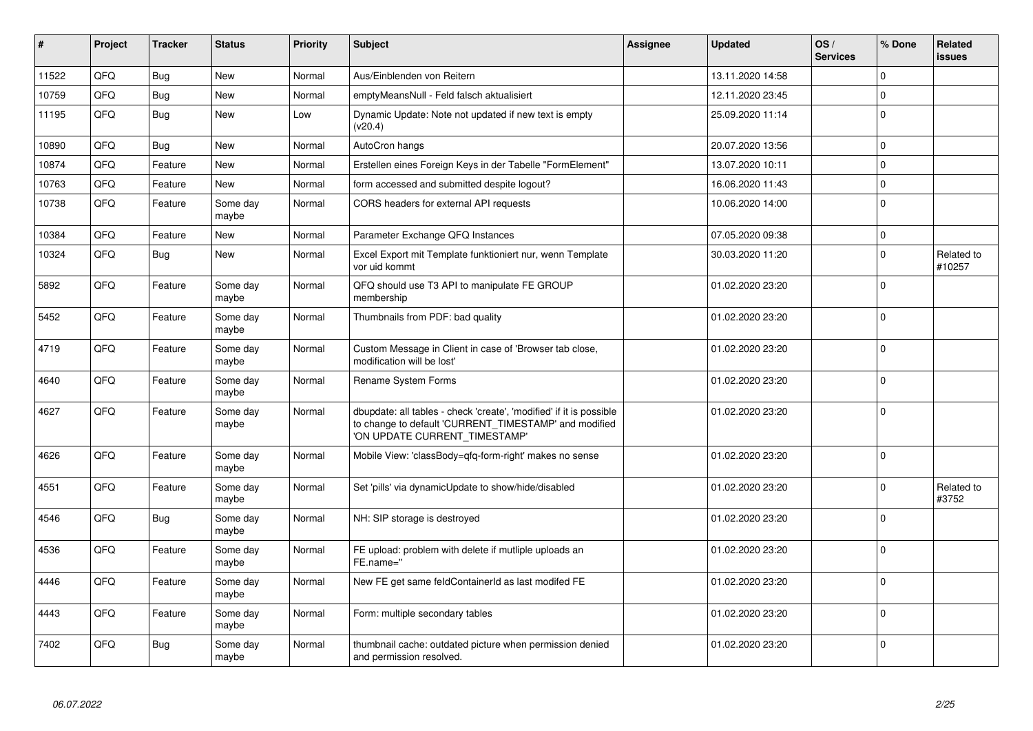| #     | Project | <b>Tracker</b> | <b>Status</b>     | <b>Priority</b> | Subject                                                                                                                                                       | Assignee | <b>Updated</b>   | OS/<br><b>Services</b> | % Done      | Related<br>issues    |
|-------|---------|----------------|-------------------|-----------------|---------------------------------------------------------------------------------------------------------------------------------------------------------------|----------|------------------|------------------------|-------------|----------------------|
| 11522 | QFQ     | <b>Bug</b>     | <b>New</b>        | Normal          | Aus/Einblenden von Reitern                                                                                                                                    |          | 13.11.2020 14:58 |                        | $\mathbf 0$ |                      |
| 10759 | QFQ     | Bug            | New               | Normal          | emptyMeansNull - Feld falsch aktualisiert                                                                                                                     |          | 12.11.2020 23:45 |                        | $\Omega$    |                      |
| 11195 | QFQ     | Bug            | <b>New</b>        | Low             | Dynamic Update: Note not updated if new text is empty<br>(v20.4)                                                                                              |          | 25.09.2020 11:14 |                        | $\Omega$    |                      |
| 10890 | QFQ     | Bug            | New               | Normal          | AutoCron hangs                                                                                                                                                |          | 20.07.2020 13:56 |                        | $\Omega$    |                      |
| 10874 | QFQ     | Feature        | <b>New</b>        | Normal          | Erstellen eines Foreign Keys in der Tabelle "FormElement"                                                                                                     |          | 13.07.2020 10:11 |                        | $\mathbf 0$ |                      |
| 10763 | QFQ     | Feature        | <b>New</b>        | Normal          | form accessed and submitted despite logout?                                                                                                                   |          | 16.06.2020 11:43 |                        | $\Omega$    |                      |
| 10738 | QFQ     | Feature        | Some day<br>maybe | Normal          | CORS headers for external API requests                                                                                                                        |          | 10.06.2020 14:00 |                        | $\mathbf 0$ |                      |
| 10384 | QFQ     | Feature        | New               | Normal          | Parameter Exchange QFQ Instances                                                                                                                              |          | 07.05.2020 09:38 |                        | $\mathbf 0$ |                      |
| 10324 | QFQ     | <b>Bug</b>     | New               | Normal          | Excel Export mit Template funktioniert nur, wenn Template<br>vor uid kommt                                                                                    |          | 30.03.2020 11:20 |                        | $\Omega$    | Related to<br>#10257 |
| 5892  | QFQ     | Feature        | Some day<br>maybe | Normal          | QFQ should use T3 API to manipulate FE GROUP<br>membership                                                                                                    |          | 01.02.2020 23:20 |                        | $\mathbf 0$ |                      |
| 5452  | QFQ     | Feature        | Some day<br>maybe | Normal          | Thumbnails from PDF: bad quality                                                                                                                              |          | 01.02.2020 23:20 |                        | $\Omega$    |                      |
| 4719  | QFQ     | Feature        | Some day<br>maybe | Normal          | Custom Message in Client in case of 'Browser tab close,<br>modification will be lost'                                                                         |          | 01.02.2020 23:20 |                        | $\Omega$    |                      |
| 4640  | QFQ     | Feature        | Some day<br>maybe | Normal          | Rename System Forms                                                                                                                                           |          | 01.02.2020 23:20 |                        | $\Omega$    |                      |
| 4627  | QFQ     | Feature        | Some day<br>maybe | Normal          | dbupdate: all tables - check 'create', 'modified' if it is possible<br>to change to default 'CURRENT_TIMESTAMP' and modified<br>'ON UPDATE CURRENT TIMESTAMP' |          | 01.02.2020 23:20 |                        | $\Omega$    |                      |
| 4626  | QFQ     | Feature        | Some day<br>maybe | Normal          | Mobile View: 'classBody=qfq-form-right' makes no sense                                                                                                        |          | 01.02.2020 23:20 |                        | $\Omega$    |                      |
| 4551  | QFQ     | Feature        | Some day<br>maybe | Normal          | Set 'pills' via dynamicUpdate to show/hide/disabled                                                                                                           |          | 01.02.2020 23:20 |                        | $\mathbf 0$ | Related to<br>#3752  |
| 4546  | QFQ     | Bug            | Some day<br>maybe | Normal          | NH: SIP storage is destroyed                                                                                                                                  |          | 01.02.2020 23:20 |                        | $\Omega$    |                      |
| 4536  | QFQ     | Feature        | Some day<br>maybe | Normal          | FE upload: problem with delete if mutliple uploads an<br>FE.name="                                                                                            |          | 01.02.2020 23:20 |                        | $\Omega$    |                      |
| 4446  | QFQ     | Feature        | Some day<br>maybe | Normal          | New FE get same feldContainerId as last modifed FE                                                                                                            |          | 01.02.2020 23:20 |                        | $\Omega$    |                      |
| 4443  | QFQ     | Feature        | Some day<br>maybe | Normal          | Form: multiple secondary tables                                                                                                                               |          | 01.02.2020 23:20 |                        | $\Omega$    |                      |
| 7402  | QFQ     | Bug            | Some day<br>maybe | Normal          | thumbnail cache: outdated picture when permission denied<br>and permission resolved.                                                                          |          | 01.02.2020 23:20 |                        | $\Omega$    |                      |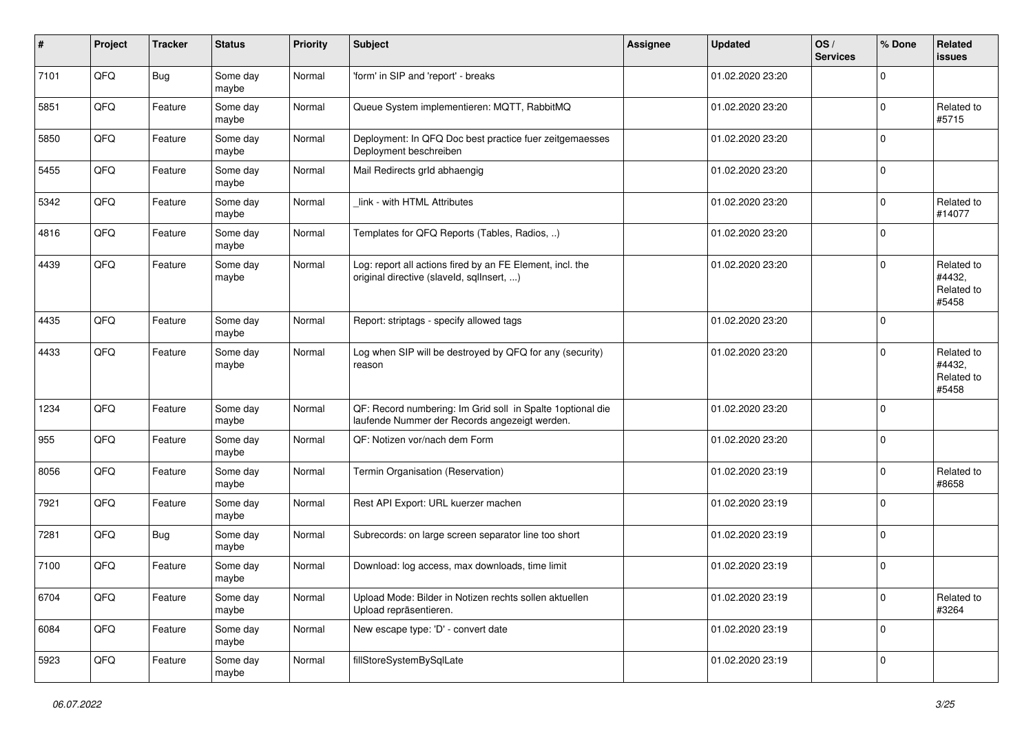| #    | Project | <b>Tracker</b> | <b>Status</b>     | <b>Priority</b> | Subject                                                                                                      | <b>Assignee</b> | <b>Updated</b>   | OS/<br><b>Services</b> | % Done       | Related<br><b>issues</b>                    |
|------|---------|----------------|-------------------|-----------------|--------------------------------------------------------------------------------------------------------------|-----------------|------------------|------------------------|--------------|---------------------------------------------|
| 7101 | QFQ     | Bug            | Some day<br>maybe | Normal          | 'form' in SIP and 'report' - breaks                                                                          |                 | 01.02.2020 23:20 |                        | $\Omega$     |                                             |
| 5851 | QFQ     | Feature        | Some day<br>maybe | Normal          | Queue System implementieren: MQTT, RabbitMQ                                                                  |                 | 01.02.2020 23:20 |                        | $\mathbf{0}$ | Related to<br>#5715                         |
| 5850 | QFQ     | Feature        | Some day<br>maybe | Normal          | Deployment: In QFQ Doc best practice fuer zeitgemaesses<br>Deployment beschreiben                            |                 | 01.02.2020 23:20 |                        | $\Omega$     |                                             |
| 5455 | QFQ     | Feature        | Some day<br>maybe | Normal          | Mail Redirects grld abhaengig                                                                                |                 | 01.02.2020 23:20 |                        | $\mathbf 0$  |                                             |
| 5342 | QFQ     | Feature        | Some day<br>maybe | Normal          | link - with HTML Attributes                                                                                  |                 | 01.02.2020 23:20 |                        | $\mathbf{0}$ | Related to<br>#14077                        |
| 4816 | QFQ     | Feature        | Some day<br>maybe | Normal          | Templates for QFQ Reports (Tables, Radios, )                                                                 |                 | 01.02.2020 23:20 |                        | $\Omega$     |                                             |
| 4439 | QFQ     | Feature        | Some day<br>maybe | Normal          | Log: report all actions fired by an FE Element, incl. the<br>original directive (slaveld, sqlInsert, )       |                 | 01.02.2020 23:20 |                        | $\Omega$     | Related to<br>#4432,<br>Related to<br>#5458 |
| 4435 | QFQ     | Feature        | Some day<br>maybe | Normal          | Report: striptags - specify allowed tags                                                                     |                 | 01.02.2020 23:20 |                        | l O          |                                             |
| 4433 | QFQ     | Feature        | Some day<br>maybe | Normal          | Log when SIP will be destroyed by QFQ for any (security)<br>reason                                           |                 | 01.02.2020 23:20 |                        | $\Omega$     | Related to<br>#4432,<br>Related to<br>#5458 |
| 1234 | QFQ     | Feature        | Some day<br>maybe | Normal          | QF: Record numbering: Im Grid soll in Spalte 1 optional die<br>laufende Nummer der Records angezeigt werden. |                 | 01.02.2020 23:20 |                        | l 0          |                                             |
| 955  | QFQ     | Feature        | Some day<br>maybe | Normal          | QF: Notizen vor/nach dem Form                                                                                |                 | 01.02.2020 23:20 |                        | $\mathbf{0}$ |                                             |
| 8056 | QFQ     | Feature        | Some day<br>maybe | Normal          | Termin Organisation (Reservation)                                                                            |                 | 01.02.2020 23:19 |                        | $\mathbf 0$  | Related to<br>#8658                         |
| 7921 | QFQ     | Feature        | Some day<br>maybe | Normal          | Rest API Export: URL kuerzer machen                                                                          |                 | 01.02.2020 23:19 |                        | l 0          |                                             |
| 7281 | QFQ     | <b>Bug</b>     | Some day<br>maybe | Normal          | Subrecords: on large screen separator line too short                                                         |                 | 01.02.2020 23:19 |                        | $\mathbf 0$  |                                             |
| 7100 | QFQ     | Feature        | Some day<br>maybe | Normal          | Download: log access, max downloads, time limit                                                              |                 | 01.02.2020 23:19 |                        | l 0          |                                             |
| 6704 | QFQ     | Feature        | Some day<br>maybe | Normal          | Upload Mode: Bilder in Notizen rechts sollen aktuellen<br>Upload repräsentieren.                             |                 | 01.02.2020 23:19 |                        | l 0          | Related to<br>#3264                         |
| 6084 | QFQ     | Feature        | Some day<br>maybe | Normal          | New escape type: 'D' - convert date                                                                          |                 | 01.02.2020 23:19 |                        | l 0          |                                             |
| 5923 | QFQ     | Feature        | Some day<br>maybe | Normal          | fillStoreSystemBySqlLate                                                                                     |                 | 01.02.2020 23:19 |                        | $\mathbf 0$  |                                             |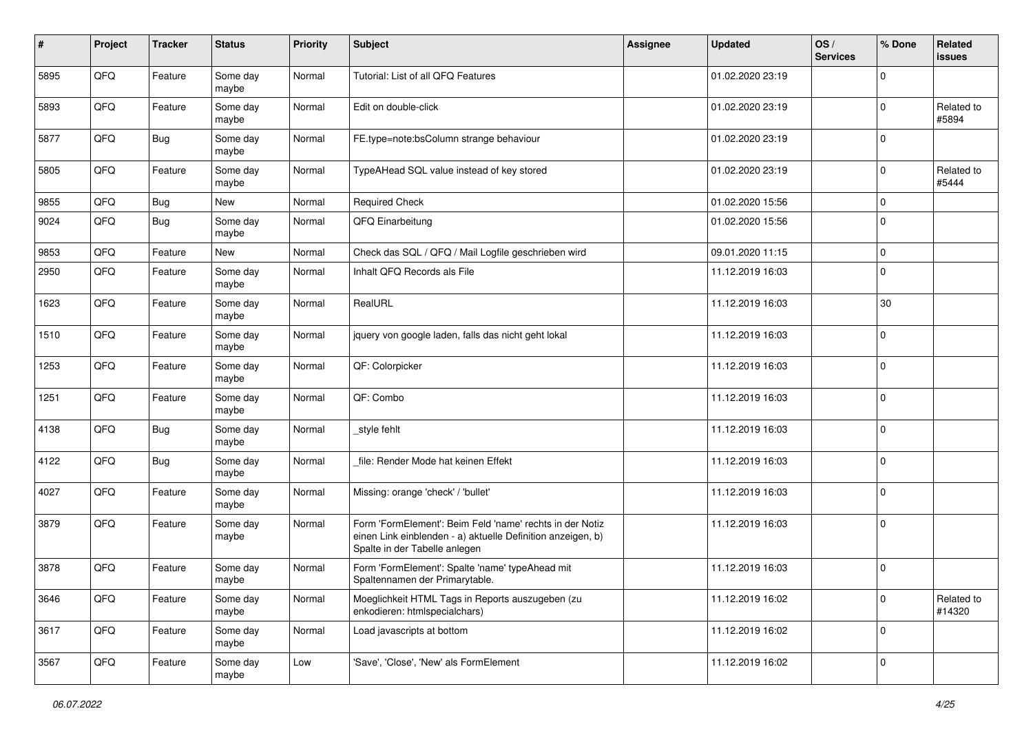| #    | Project | <b>Tracker</b> | <b>Status</b>     | <b>Priority</b> | <b>Subject</b>                                                                                                                                           | <b>Assignee</b> | <b>Updated</b>   | OS/<br><b>Services</b> | % Done      | Related<br>issues    |
|------|---------|----------------|-------------------|-----------------|----------------------------------------------------------------------------------------------------------------------------------------------------------|-----------------|------------------|------------------------|-------------|----------------------|
| 5895 | QFQ     | Feature        | Some day<br>maybe | Normal          | Tutorial: List of all QFQ Features                                                                                                                       |                 | 01.02.2020 23:19 |                        | $\Omega$    |                      |
| 5893 | QFQ     | Feature        | Some day<br>maybe | Normal          | Edit on double-click                                                                                                                                     |                 | 01.02.2020 23:19 |                        | $\mathbf 0$ | Related to<br>#5894  |
| 5877 | QFQ     | <b>Bug</b>     | Some day<br>maybe | Normal          | FE.type=note:bsColumn strange behaviour                                                                                                                  |                 | 01.02.2020 23:19 |                        | $\Omega$    |                      |
| 5805 | QFQ     | Feature        | Some day<br>maybe | Normal          | TypeAHead SQL value instead of key stored                                                                                                                |                 | 01.02.2020 23:19 |                        | 0           | Related to<br>#5444  |
| 9855 | QFQ     | Bug            | New               | Normal          | <b>Required Check</b>                                                                                                                                    |                 | 01.02.2020 15:56 |                        | $\mathbf 0$ |                      |
| 9024 | QFQ     | <b>Bug</b>     | Some day<br>maybe | Normal          | QFQ Einarbeitung                                                                                                                                         |                 | 01.02.2020 15:56 |                        | $\mathbf 0$ |                      |
| 9853 | QFQ     | Feature        | New               | Normal          | Check das SQL / QFQ / Mail Logfile geschrieben wird                                                                                                      |                 | 09.01.2020 11:15 |                        | $\mathbf 0$ |                      |
| 2950 | QFQ     | Feature        | Some day<br>maybe | Normal          | Inhalt QFQ Records als File                                                                                                                              |                 | 11.12.2019 16:03 |                        | $\Omega$    |                      |
| 1623 | QFQ     | Feature        | Some day<br>maybe | Normal          | RealURL                                                                                                                                                  |                 | 11.12.2019 16:03 |                        | 30          |                      |
| 1510 | QFQ     | Feature        | Some day<br>maybe | Normal          | jquery von google laden, falls das nicht geht lokal                                                                                                      |                 | 11.12.2019 16:03 |                        | $\Omega$    |                      |
| 1253 | QFQ     | Feature        | Some day<br>maybe | Normal          | QF: Colorpicker                                                                                                                                          |                 | 11.12.2019 16:03 |                        | $\Omega$    |                      |
| 1251 | QFQ     | Feature        | Some day<br>maybe | Normal          | QF: Combo                                                                                                                                                |                 | 11.12.2019 16:03 |                        | $\mathbf 0$ |                      |
| 4138 | QFQ     | Bug            | Some day<br>maybe | Normal          | _style fehlt                                                                                                                                             |                 | 11.12.2019 16:03 |                        | $\mathbf 0$ |                      |
| 4122 | QFQ     | <b>Bug</b>     | Some day<br>maybe | Normal          | file: Render Mode hat keinen Effekt                                                                                                                      |                 | 11.12.2019 16:03 |                        | $\mathbf 0$ |                      |
| 4027 | QFQ     | Feature        | Some day<br>maybe | Normal          | Missing: orange 'check' / 'bullet'                                                                                                                       |                 | 11.12.2019 16:03 |                        | 0           |                      |
| 3879 | QFQ     | Feature        | Some day<br>maybe | Normal          | Form 'FormElement': Beim Feld 'name' rechts in der Notiz<br>einen Link einblenden - a) aktuelle Definition anzeigen, b)<br>Spalte in der Tabelle anlegen |                 | 11.12.2019 16:03 |                        | $\mathbf 0$ |                      |
| 3878 | QFQ     | Feature        | Some day<br>maybe | Normal          | Form 'FormElement': Spalte 'name' typeAhead mit<br>Spaltennamen der Primarytable.                                                                        |                 | 11.12.2019 16:03 |                        | 0           |                      |
| 3646 | QFQ     | Feature        | Some day<br>maybe | Normal          | Moeglichkeit HTML Tags in Reports auszugeben (zu<br>enkodieren: htmlspecialchars)                                                                        |                 | 11.12.2019 16:02 |                        | $\mathbf 0$ | Related to<br>#14320 |
| 3617 | QFQ     | Feature        | Some day<br>maybe | Normal          | Load javascripts at bottom                                                                                                                               |                 | 11.12.2019 16:02 |                        | $\mathbf 0$ |                      |
| 3567 | QFG     | Feature        | Some day<br>maybe | Low             | 'Save', 'Close', 'New' als FormElement                                                                                                                   |                 | 11.12.2019 16:02 |                        | $\mathbf 0$ |                      |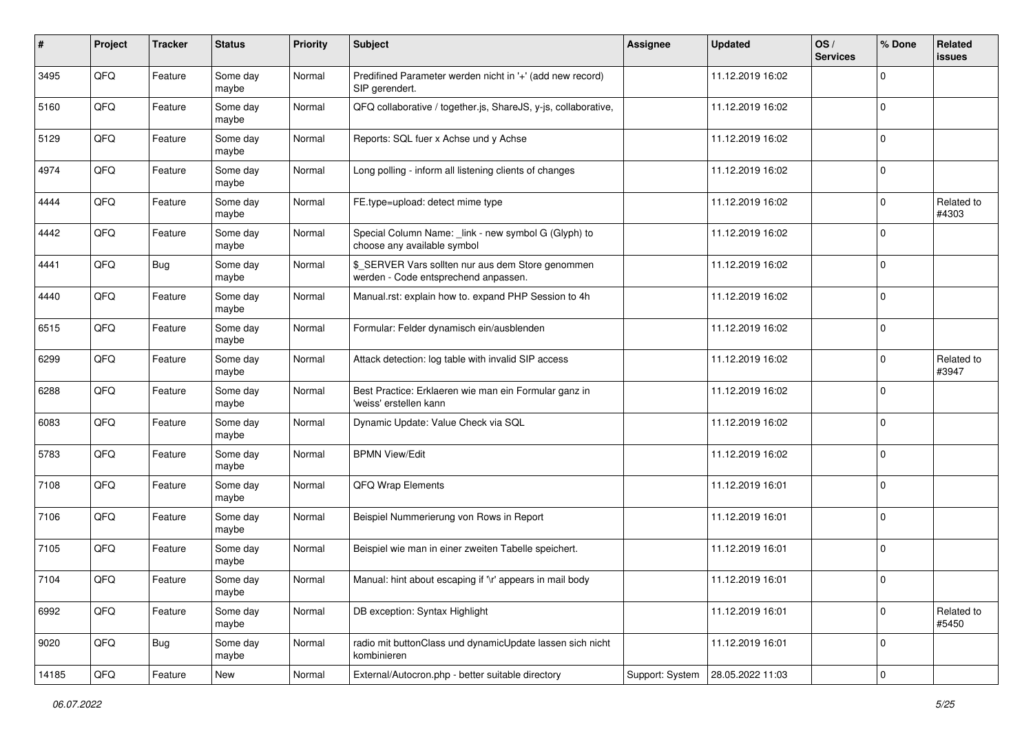| #     | Project | <b>Tracker</b> | <b>Status</b>     | <b>Priority</b> | Subject                                                                                   | <b>Assignee</b> | <b>Updated</b>   | OS/<br><b>Services</b> | % Done      | Related<br><b>issues</b> |
|-------|---------|----------------|-------------------|-----------------|-------------------------------------------------------------------------------------------|-----------------|------------------|------------------------|-------------|--------------------------|
| 3495  | QFQ     | Feature        | Some day<br>maybe | Normal          | Predifined Parameter werden nicht in '+' (add new record)<br>SIP gerendert.               |                 | 11.12.2019 16:02 |                        | $\Omega$    |                          |
| 5160  | QFQ     | Feature        | Some day<br>maybe | Normal          | QFQ collaborative / together.js, ShareJS, y-js, collaborative,                            |                 | 11.12.2019 16:02 |                        | $\mathbf 0$ |                          |
| 5129  | QFQ     | Feature        | Some day<br>maybe | Normal          | Reports: SQL fuer x Achse und y Achse                                                     |                 | 11.12.2019 16:02 |                        | $\Omega$    |                          |
| 4974  | QFQ     | Feature        | Some day<br>maybe | Normal          | Long polling - inform all listening clients of changes                                    |                 | 11.12.2019 16:02 |                        | $\mathbf 0$ |                          |
| 4444  | QFQ     | Feature        | Some day<br>maybe | Normal          | FE.type=upload: detect mime type                                                          |                 | 11.12.2019 16:02 |                        | $\mathbf 0$ | Related to<br>#4303      |
| 4442  | QFQ     | Feature        | Some day<br>maybe | Normal          | Special Column Name: _link - new symbol G (Glyph) to<br>choose any available symbol       |                 | 11.12.2019 16:02 |                        | $\Omega$    |                          |
| 4441  | QFQ     | <b>Bug</b>     | Some day<br>maybe | Normal          | \$_SERVER Vars sollten nur aus dem Store genommen<br>werden - Code entsprechend anpassen. |                 | 11.12.2019 16:02 |                        | $\Omega$    |                          |
| 4440  | QFQ     | Feature        | Some day<br>maybe | Normal          | Manual.rst: explain how to. expand PHP Session to 4h                                      |                 | 11.12.2019 16:02 |                        | $\mathbf 0$ |                          |
| 6515  | QFQ     | Feature        | Some day<br>maybe | Normal          | Formular: Felder dynamisch ein/ausblenden                                                 |                 | 11.12.2019 16:02 |                        | $\mathbf 0$ |                          |
| 6299  | QFQ     | Feature        | Some day<br>maybe | Normal          | Attack detection: log table with invalid SIP access                                       |                 | 11.12.2019 16:02 |                        | $\Omega$    | Related to<br>#3947      |
| 6288  | QFQ     | Feature        | Some day<br>maybe | Normal          | Best Practice: Erklaeren wie man ein Formular ganz in<br>'weiss' erstellen kann           |                 | 11.12.2019 16:02 |                        | $\Omega$    |                          |
| 6083  | QFQ     | Feature        | Some day<br>maybe | Normal          | Dynamic Update: Value Check via SQL                                                       |                 | 11.12.2019 16:02 |                        | $\Omega$    |                          |
| 5783  | QFQ     | Feature        | Some day<br>maybe | Normal          | <b>BPMN View/Edit</b>                                                                     |                 | 11.12.2019 16:02 |                        | $\Omega$    |                          |
| 7108  | QFQ     | Feature        | Some day<br>maybe | Normal          | QFQ Wrap Elements                                                                         |                 | 11.12.2019 16:01 |                        | $\Omega$    |                          |
| 7106  | QFQ     | Feature        | Some day<br>maybe | Normal          | Beispiel Nummerierung von Rows in Report                                                  |                 | 11.12.2019 16:01 |                        | $\mathbf 0$ |                          |
| 7105  | QFQ     | Feature        | Some day<br>maybe | Normal          | Beispiel wie man in einer zweiten Tabelle speichert.                                      |                 | 11.12.2019 16:01 |                        | 0           |                          |
| 7104  | QFQ     | Feature        | Some day<br>maybe | Normal          | Manual: hint about escaping if '\r' appears in mail body                                  |                 | 11.12.2019 16:01 |                        | $\Omega$    |                          |
| 6992  | QFQ     | Feature        | Some day<br>maybe | Normal          | DB exception: Syntax Highlight                                                            |                 | 11.12.2019 16:01 |                        | $\mathbf 0$ | Related to<br>#5450      |
| 9020  | QFQ     | Bug            | Some day<br>maybe | Normal          | radio mit buttonClass und dynamicUpdate lassen sich nicht<br>kombinieren                  |                 | 11.12.2019 16:01 |                        | $\mathbf 0$ |                          |
| 14185 | QFQ     | Feature        | New               | Normal          | External/Autocron.php - better suitable directory                                         | Support: System | 28.05.2022 11:03 |                        | $\mathbf 0$ |                          |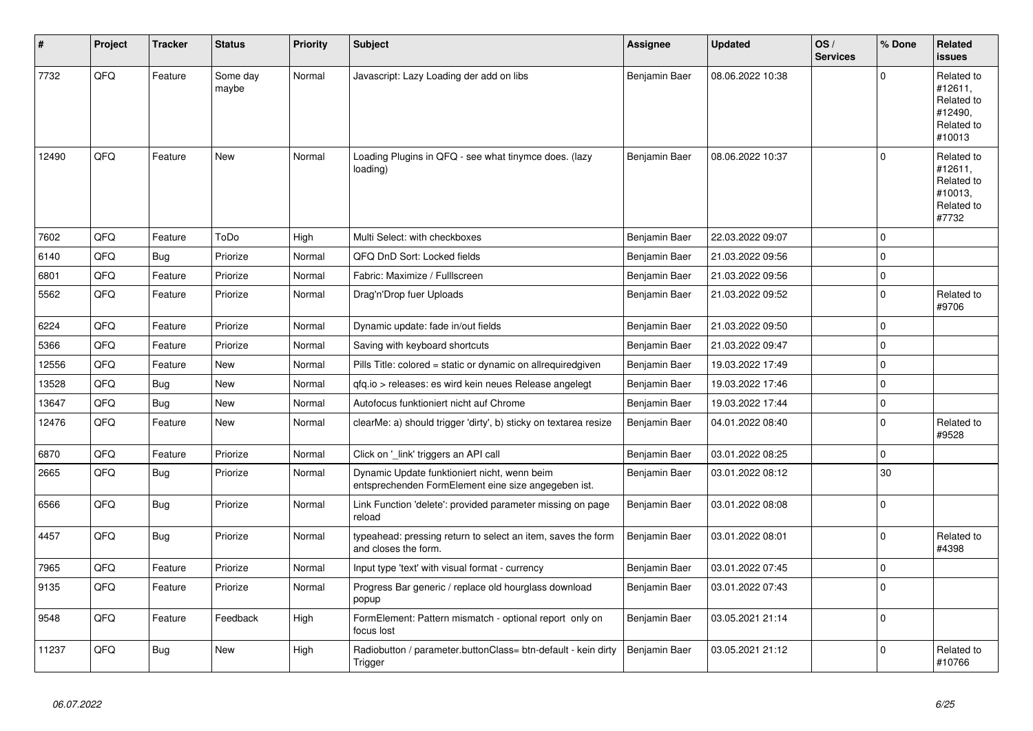| ∦     | Project | <b>Tracker</b> | <b>Status</b>     | <b>Priority</b> | <b>Subject</b>                                                                                      | Assignee      | <b>Updated</b>   | OS/<br><b>Services</b> | % Done      | Related<br><b>issues</b>                                               |
|-------|---------|----------------|-------------------|-----------------|-----------------------------------------------------------------------------------------------------|---------------|------------------|------------------------|-------------|------------------------------------------------------------------------|
| 7732  | QFQ     | Feature        | Some day<br>maybe | Normal          | Javascript: Lazy Loading der add on libs                                                            | Benjamin Baer | 08.06.2022 10:38 |                        | $\Omega$    | Related to<br>#12611,<br>Related to<br>#12490,<br>Related to<br>#10013 |
| 12490 | QFQ     | Feature        | New               | Normal          | Loading Plugins in QFQ - see what tinymce does. (lazy<br>loading)                                   | Benjamin Baer | 08.06.2022 10:37 |                        | $\Omega$    | Related to<br>#12611,<br>Related to<br>#10013,<br>Related to<br>#7732  |
| 7602  | QFQ     | Feature        | ToDo              | High            | Multi Select: with checkboxes                                                                       | Benjamin Baer | 22.03.2022 09:07 |                        | $\mathbf 0$ |                                                                        |
| 6140  | QFQ     | <b>Bug</b>     | Priorize          | Normal          | QFQ DnD Sort: Locked fields                                                                         | Benjamin Baer | 21.03.2022 09:56 |                        | $\mathbf 0$ |                                                                        |
| 6801  | QFQ     | Feature        | Priorize          | Normal          | Fabric: Maximize / FullIscreen                                                                      | Benjamin Baer | 21.03.2022 09:56 |                        | $\mathbf 0$ |                                                                        |
| 5562  | QFQ     | Feature        | Priorize          | Normal          | Drag'n'Drop fuer Uploads                                                                            | Benjamin Baer | 21.03.2022 09:52 |                        | $\mathbf 0$ | Related to<br>#9706                                                    |
| 6224  | QFQ     | Feature        | Priorize          | Normal          | Dynamic update: fade in/out fields                                                                  | Benjamin Baer | 21.03.2022 09:50 |                        | $\mathbf 0$ |                                                                        |
| 5366  | QFQ     | Feature        | Priorize          | Normal          | Saving with keyboard shortcuts                                                                      | Benjamin Baer | 21.03.2022 09:47 |                        | $\mathbf 0$ |                                                                        |
| 12556 | QFQ     | Feature        | New               | Normal          | Pills Title: colored = static or dynamic on allrequiredgiven                                        | Benjamin Baer | 19.03.2022 17:49 |                        | $\Omega$    |                                                                        |
| 13528 | QFQ     | Bug            | New               | Normal          | gfg.io > releases: es wird kein neues Release angelegt                                              | Benjamin Baer | 19.03.2022 17:46 |                        | $\mathbf 0$ |                                                                        |
| 13647 | QFQ     | Bug            | New               | Normal          | Autofocus funktioniert nicht auf Chrome                                                             | Benjamin Baer | 19.03.2022 17:44 |                        | $\pmb{0}$   |                                                                        |
| 12476 | QFQ     | Feature        | New               | Normal          | clearMe: a) should trigger 'dirty', b) sticky on textarea resize                                    | Benjamin Baer | 04.01.2022 08:40 |                        | $\Omega$    | Related to<br>#9528                                                    |
| 6870  | QFQ     | Feature        | Priorize          | Normal          | Click on '_link' triggers an API call                                                               | Benjamin Baer | 03.01.2022 08:25 |                        | $\mathbf 0$ |                                                                        |
| 2665  | QFQ     | <b>Bug</b>     | Priorize          | Normal          | Dynamic Update funktioniert nicht, wenn beim<br>entsprechenden FormElement eine size angegeben ist. | Benjamin Baer | 03.01.2022 08:12 |                        | 30          |                                                                        |
| 6566  | QFQ     | Bug            | Priorize          | Normal          | Link Function 'delete': provided parameter missing on page<br>reload                                | Benjamin Baer | 03.01.2022 08:08 |                        | $\Omega$    |                                                                        |
| 4457  | QFQ     | <b>Bug</b>     | Priorize          | Normal          | typeahead: pressing return to select an item, saves the form<br>and closes the form.                | Benjamin Baer | 03.01.2022 08:01 |                        | $\Omega$    | Related to<br>#4398                                                    |
| 7965  | QFQ     | Feature        | Priorize          | Normal          | Input type 'text' with visual format - currency                                                     | Benjamin Baer | 03.01.2022 07:45 |                        | $\mathbf 0$ |                                                                        |
| 9135  | QFQ     | Feature        | Priorize          | Normal          | Progress Bar generic / replace old hourglass download<br>popup                                      | Benjamin Baer | 03.01.2022 07:43 |                        | $\Omega$    |                                                                        |
| 9548  | QFQ     | Feature        | Feedback          | High            | FormElement: Pattern mismatch - optional report only on<br>focus lost                               | Benjamin Baer | 03.05.2021 21:14 |                        | $\Omega$    |                                                                        |
| 11237 | QFQ     | Bug            | <b>New</b>        | High            | Radiobutton / parameter.buttonClass= btn-default - kein dirty<br>Trigger                            | Benjamin Baer | 03.05.2021 21:12 |                        | $\Omega$    | Related to<br>#10766                                                   |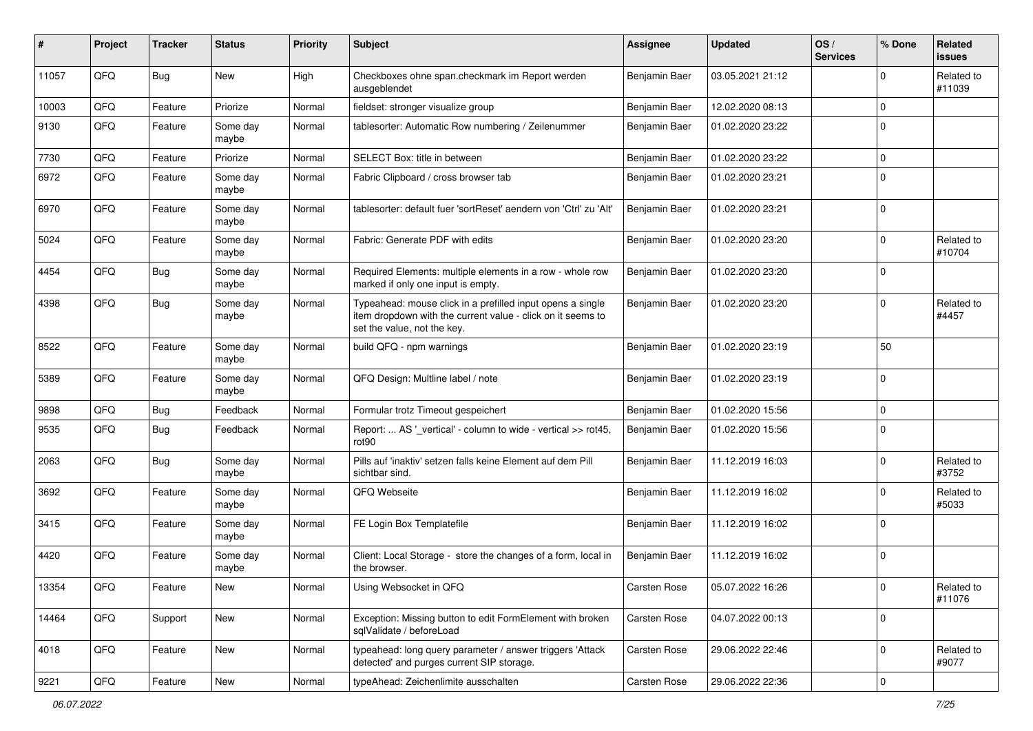| #     | Project | <b>Tracker</b> | <b>Status</b>     | <b>Priority</b> | Subject                                                                                                                                                  | <b>Assignee</b> | <b>Updated</b>   | OS/<br><b>Services</b> | % Done         | Related<br>issues    |
|-------|---------|----------------|-------------------|-----------------|----------------------------------------------------------------------------------------------------------------------------------------------------------|-----------------|------------------|------------------------|----------------|----------------------|
| 11057 | QFQ     | Bug            | <b>New</b>        | High            | Checkboxes ohne span.checkmark im Report werden<br>ausgeblendet                                                                                          | Benjamin Baer   | 03.05.2021 21:12 |                        | <sup>0</sup>   | Related to<br>#11039 |
| 10003 | QFQ     | Feature        | Priorize          | Normal          | fieldset: stronger visualize group                                                                                                                       | Benjamin Baer   | 12.02.2020 08:13 |                        | $\Omega$       |                      |
| 9130  | QFQ     | Feature        | Some day<br>maybe | Normal          | tablesorter: Automatic Row numbering / Zeilenummer                                                                                                       | Benjamin Baer   | 01.02.2020 23:22 |                        | $\Omega$       |                      |
| 7730  | QFQ     | Feature        | Priorize          | Normal          | SELECT Box: title in between                                                                                                                             | Benjamin Baer   | 01.02.2020 23:22 |                        | $\Omega$       |                      |
| 6972  | QFQ     | Feature        | Some day<br>maybe | Normal          | Fabric Clipboard / cross browser tab                                                                                                                     | Benjamin Baer   | 01.02.2020 23:21 |                        | $\mathbf 0$    |                      |
| 6970  | QFQ     | Feature        | Some day<br>maybe | Normal          | tablesorter: default fuer 'sortReset' aendern von 'Ctrl' zu 'Alt'                                                                                        | Benjamin Baer   | 01.02.2020 23:21 |                        | 0              |                      |
| 5024  | QFQ     | Feature        | Some day<br>maybe | Normal          | Fabric: Generate PDF with edits                                                                                                                          | Benjamin Baer   | 01.02.2020 23:20 |                        | $\Omega$       | Related to<br>#10704 |
| 4454  | QFQ     | Bug            | Some day<br>maybe | Normal          | Required Elements: multiple elements in a row - whole row<br>marked if only one input is empty.                                                          | Benjamin Baer   | 01.02.2020 23:20 |                        | $\Omega$       |                      |
| 4398  | QFQ     | Bug            | Some day<br>maybe | Normal          | Typeahead: mouse click in a prefilled input opens a single<br>item dropdown with the current value - click on it seems to<br>set the value, not the key. | Benjamin Baer   | 01.02.2020 23:20 |                        | $\Omega$       | Related to<br>#4457  |
| 8522  | QFQ     | Feature        | Some day<br>maybe | Normal          | build QFQ - npm warnings                                                                                                                                 | Benjamin Baer   | 01.02.2020 23:19 |                        | 50             |                      |
| 5389  | QFQ     | Feature        | Some day<br>maybe | Normal          | QFQ Design: Multline label / note                                                                                                                        | Benjamin Baer   | 01.02.2020 23:19 |                        | $\Omega$       |                      |
| 9898  | QFQ     | Bug            | Feedback          | Normal          | Formular trotz Timeout gespeichert                                                                                                                       | Benjamin Baer   | 01.02.2020 15:56 |                        | $\Omega$       |                      |
| 9535  | QFQ     | Bug            | Feedback          | Normal          | Report:  AS '_vertical' - column to wide - vertical >> rot45,<br>rot <sub>90</sub>                                                                       | Benjamin Baer   | 01.02.2020 15:56 |                        | 0              |                      |
| 2063  | QFQ     | <b>Bug</b>     | Some day<br>maybe | Normal          | Pills auf 'inaktiv' setzen falls keine Element auf dem Pill<br>sichtbar sind.                                                                            | Benjamin Baer   | 11.12.2019 16:03 |                        | $\Omega$       | Related to<br>#3752  |
| 3692  | QFQ     | Feature        | Some day<br>maybe | Normal          | QFQ Webseite                                                                                                                                             | Benjamin Baer   | 11.12.2019 16:02 |                        | 0              | Related to<br>#5033  |
| 3415  | QFQ     | Feature        | Some day<br>maybe | Normal          | FE Login Box Templatefile                                                                                                                                | Benjamin Baer   | 11.12.2019 16:02 |                        | $\Omega$       |                      |
| 4420  | QFQ     | Feature        | Some day<br>maybe | Normal          | Client: Local Storage - store the changes of a form, local in<br>the browser.                                                                            | Benjamin Baer   | 11.12.2019 16:02 |                        | $\Omega$       |                      |
| 13354 | QFQ     | Feature        | New               | Normal          | Using Websocket in QFQ                                                                                                                                   | Carsten Rose    | 05.07.2022 16:26 |                        | 0              | Related to<br>#11076 |
| 14464 | QFQ     | Support        | New               | Normal          | Exception: Missing button to edit FormElement with broken<br>salValidate / beforeLoad                                                                    | Carsten Rose    | 04.07.2022 00:13 |                        | $\mathbf 0$    |                      |
| 4018  | QFQ     | Feature        | New               | Normal          | typeahead: long query parameter / answer triggers 'Attack<br>detected' and purges current SIP storage.                                                   | Carsten Rose    | 29.06.2022 22:46 |                        | 0              | Related to<br>#9077  |
| 9221  | QFQ     | Feature        | New               | Normal          | typeAhead: Zeichenlimite ausschalten                                                                                                                     | Carsten Rose    | 29.06.2022 22:36 |                        | $\overline{0}$ |                      |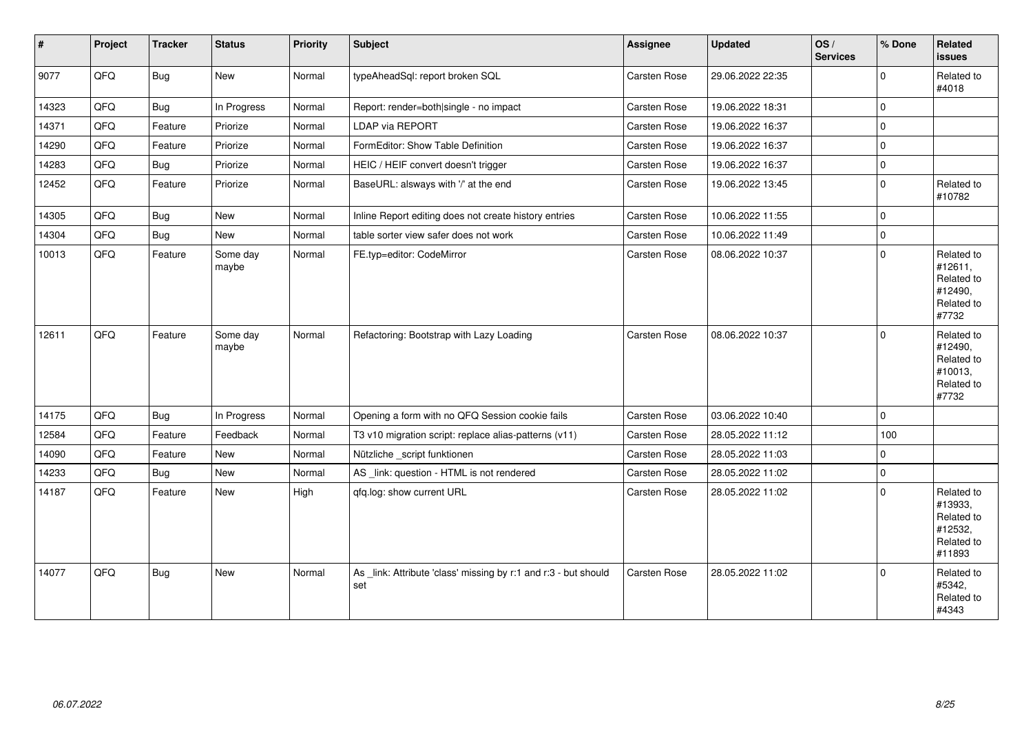| $\vert$ # | Project | <b>Tracker</b> | <b>Status</b>     | <b>Priority</b> | Subject                                                                | Assignee            | <b>Updated</b>   | OS/<br><b>Services</b> | % Done      | Related<br><b>issues</b>                                               |
|-----------|---------|----------------|-------------------|-----------------|------------------------------------------------------------------------|---------------------|------------------|------------------------|-------------|------------------------------------------------------------------------|
| 9077      | QFQ     | Bug            | New               | Normal          | typeAheadSql: report broken SQL                                        | Carsten Rose        | 29.06.2022 22:35 |                        | $\mathbf 0$ | Related to<br>#4018                                                    |
| 14323     | QFQ     | Bug            | In Progress       | Normal          | Report: render=both single - no impact                                 | Carsten Rose        | 19.06.2022 18:31 |                        | $\mathbf 0$ |                                                                        |
| 14371     | QFQ     | Feature        | Priorize          | Normal          | LDAP via REPORT                                                        | Carsten Rose        | 19.06.2022 16:37 |                        | $\mathbf 0$ |                                                                        |
| 14290     | QFQ     | Feature        | Priorize          | Normal          | FormEditor: Show Table Definition                                      | Carsten Rose        | 19.06.2022 16:37 |                        | $\mathbf 0$ |                                                                        |
| 14283     | QFQ     | <b>Bug</b>     | Priorize          | Normal          | HEIC / HEIF convert doesn't trigger                                    | Carsten Rose        | 19.06.2022 16:37 |                        | $\mathbf 0$ |                                                                        |
| 12452     | QFQ     | Feature        | Priorize          | Normal          | BaseURL: alsways with '/' at the end                                   | Carsten Rose        | 19.06.2022 13:45 |                        | $\mathbf 0$ | Related to<br>#10782                                                   |
| 14305     | QFQ     | Bug            | New               | Normal          | Inline Report editing does not create history entries                  | Carsten Rose        | 10.06.2022 11:55 |                        | $\mathbf 0$ |                                                                        |
| 14304     | QFQ     | Bug            | <b>New</b>        | Normal          | table sorter view safer does not work                                  | Carsten Rose        | 10.06.2022 11:49 |                        | $\pmb{0}$   |                                                                        |
| 10013     | QFQ     | Feature        | Some day<br>maybe | Normal          | FE.typ=editor: CodeMirror                                              | Carsten Rose        | 08.06.2022 10:37 |                        | $\Omega$    | Related to<br>#12611,<br>Related to<br>#12490,<br>Related to<br>#7732  |
| 12611     | QFQ     | Feature        | Some day<br>maybe | Normal          | Refactoring: Bootstrap with Lazy Loading                               | <b>Carsten Rose</b> | 08.06.2022 10:37 |                        | $\mathbf 0$ | Related to<br>#12490,<br>Related to<br>#10013,<br>Related to<br>#7732  |
| 14175     | QFQ     | Bug            | In Progress       | Normal          | Opening a form with no QFQ Session cookie fails                        | Carsten Rose        | 03.06.2022 10:40 |                        | $\Omega$    |                                                                        |
| 12584     | QFQ     | Feature        | Feedback          | Normal          | T3 v10 migration script: replace alias-patterns (v11)                  | Carsten Rose        | 28.05.2022 11:12 |                        | 100         |                                                                        |
| 14090     | QFQ     | Feature        | New               | Normal          | Nützliche _script funktionen                                           | Carsten Rose        | 28.05.2022 11:03 |                        | $\mathbf 0$ |                                                                        |
| 14233     | QFQ     | Bug            | New               | Normal          | AS_link: question - HTML is not rendered                               | Carsten Rose        | 28.05.2022 11:02 |                        | $\mathbf 0$ |                                                                        |
| 14187     | QFQ     | Feature        | New               | High            | qfq.log: show current URL                                              | Carsten Rose        | 28.05.2022 11:02 |                        | $\Omega$    | Related to<br>#13933,<br>Related to<br>#12532,<br>Related to<br>#11893 |
| 14077     | QFQ     | Bug            | <b>New</b>        | Normal          | As _link: Attribute 'class' missing by r:1 and r:3 - but should<br>set | <b>Carsten Rose</b> | 28.05.2022 11:02 |                        | $\Omega$    | Related to<br>#5342,<br>Related to<br>#4343                            |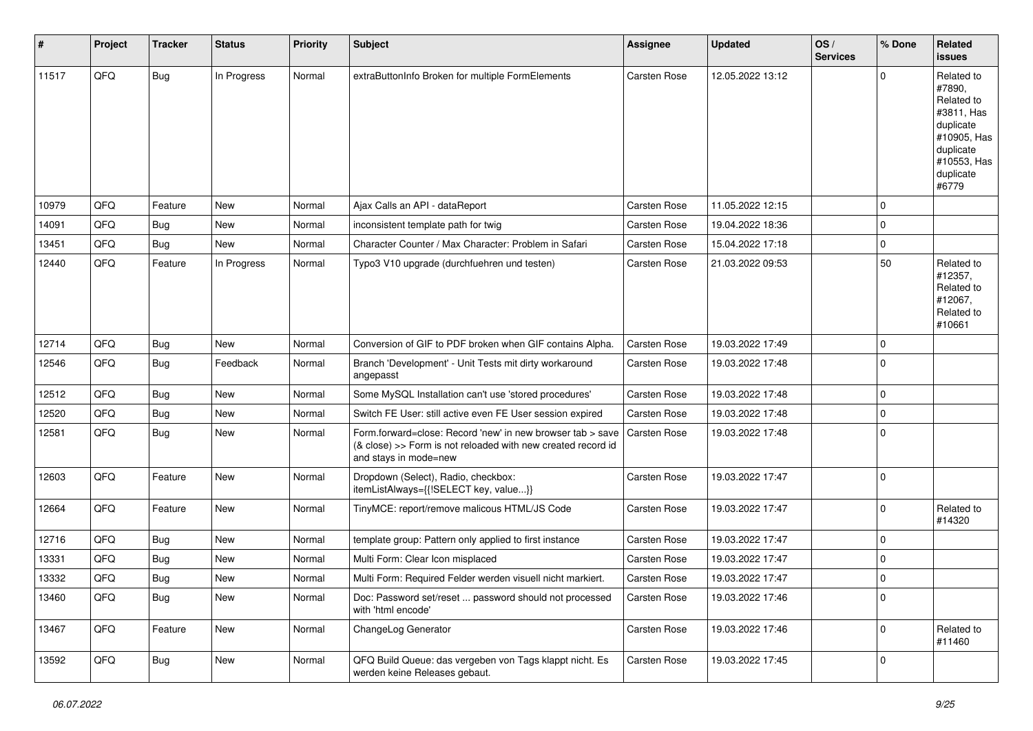| #     | Project | <b>Tracker</b> | <b>Status</b> | <b>Priority</b> | <b>Subject</b>                                                                                                                                      | <b>Assignee</b>     | <b>Updated</b>   | OS/<br><b>Services</b> | % Done      | Related<br><b>issues</b>                                                                                                       |
|-------|---------|----------------|---------------|-----------------|-----------------------------------------------------------------------------------------------------------------------------------------------------|---------------------|------------------|------------------------|-------------|--------------------------------------------------------------------------------------------------------------------------------|
| 11517 | QFQ     | Bug            | In Progress   | Normal          | extraButtonInfo Broken for multiple FormElements                                                                                                    | Carsten Rose        | 12.05.2022 13:12 |                        | $\Omega$    | Related to<br>#7890,<br>Related to<br>#3811, Has<br>duplicate<br>#10905, Has<br>duplicate<br>#10553, Has<br>duplicate<br>#6779 |
| 10979 | QFQ     | Feature        | <b>New</b>    | Normal          | Ajax Calls an API - dataReport                                                                                                                      | <b>Carsten Rose</b> | 11.05.2022 12:15 |                        | $\Omega$    |                                                                                                                                |
| 14091 | QFQ     | Bug            | <b>New</b>    | Normal          | inconsistent template path for twig                                                                                                                 | <b>Carsten Rose</b> | 19.04.2022 18:36 |                        | $\mathbf 0$ |                                                                                                                                |
| 13451 | QFQ     | Bug            | <b>New</b>    | Normal          | Character Counter / Max Character: Problem in Safari                                                                                                | <b>Carsten Rose</b> | 15.04.2022 17:18 |                        | $\mathbf 0$ |                                                                                                                                |
| 12440 | QFQ     | Feature        | In Progress   | Normal          | Typo3 V10 upgrade (durchfuehren und testen)                                                                                                         | Carsten Rose        | 21.03.2022 09:53 |                        | 50          | Related to<br>#12357,<br>Related to<br>#12067,<br>Related to<br>#10661                                                         |
| 12714 | QFQ     | <b>Bug</b>     | <b>New</b>    | Normal          | Conversion of GIF to PDF broken when GIF contains Alpha.                                                                                            | <b>Carsten Rose</b> | 19.03.2022 17:49 |                        | $\mathbf 0$ |                                                                                                                                |
| 12546 | QFQ     | Bug            | Feedback      | Normal          | Branch 'Development' - Unit Tests mit dirty workaround<br>angepasst                                                                                 | <b>Carsten Rose</b> | 19.03.2022 17:48 |                        | $\Omega$    |                                                                                                                                |
| 12512 | QFQ     | Bug            | <b>New</b>    | Normal          | Some MySQL Installation can't use 'stored procedures'                                                                                               | <b>Carsten Rose</b> | 19.03.2022 17:48 |                        | $\mathbf 0$ |                                                                                                                                |
| 12520 | QFQ     | <b>Bug</b>     | <b>New</b>    | Normal          | Switch FE User: still active even FE User session expired                                                                                           | <b>Carsten Rose</b> | 19.03.2022 17:48 |                        | $\mathbf 0$ |                                                                                                                                |
| 12581 | QFQ     | Bug            | New           | Normal          | Form.forward=close: Record 'new' in new browser tab > save<br>(& close) >> Form is not reloaded with new created record id<br>and stays in mode=new | <b>Carsten Rose</b> | 19.03.2022 17:48 |                        | $\mathbf 0$ |                                                                                                                                |
| 12603 | QFQ     | Feature        | <b>New</b>    | Normal          | Dropdown (Select), Radio, checkbox:<br>itemListAlways={{!SELECT key, value}}                                                                        | <b>Carsten Rose</b> | 19.03.2022 17:47 |                        | $\Omega$    |                                                                                                                                |
| 12664 | QFQ     | Feature        | <b>New</b>    | Normal          | TinyMCE: report/remove malicous HTML/JS Code                                                                                                        | Carsten Rose        | 19.03.2022 17:47 |                        | $\Omega$    | Related to<br>#14320                                                                                                           |
| 12716 | QFQ     | Bug            | <b>New</b>    | Normal          | template group: Pattern only applied to first instance                                                                                              | <b>Carsten Rose</b> | 19.03.2022 17:47 |                        | $\mathbf 0$ |                                                                                                                                |
| 13331 | QFQ     | <b>Bug</b>     | New           | Normal          | Multi Form: Clear Icon misplaced                                                                                                                    | <b>Carsten Rose</b> | 19.03.2022 17:47 |                        | 0           |                                                                                                                                |
| 13332 | QFQ     | Bug            | New           | Normal          | Multi Form: Required Felder werden visuell nicht markiert.                                                                                          | <b>Carsten Rose</b> | 19.03.2022 17:47 |                        | $\Omega$    |                                                                                                                                |
| 13460 | QFQ     | <b>Bug</b>     | New           | Normal          | Doc: Password set/reset  password should not processed<br>with 'html encode'                                                                        | Carsten Rose        | 19.03.2022 17:46 |                        | $\mathbf 0$ |                                                                                                                                |
| 13467 | QFQ     | Feature        | New           | Normal          | ChangeLog Generator                                                                                                                                 | Carsten Rose        | 19.03.2022 17:46 |                        | $\mathbf 0$ | Related to<br>#11460                                                                                                           |
| 13592 | QFQ     | Bug            | New           | Normal          | QFQ Build Queue: das vergeben von Tags klappt nicht. Es<br>werden keine Releases gebaut.                                                            | Carsten Rose        | 19.03.2022 17:45 |                        | $\mathbf 0$ |                                                                                                                                |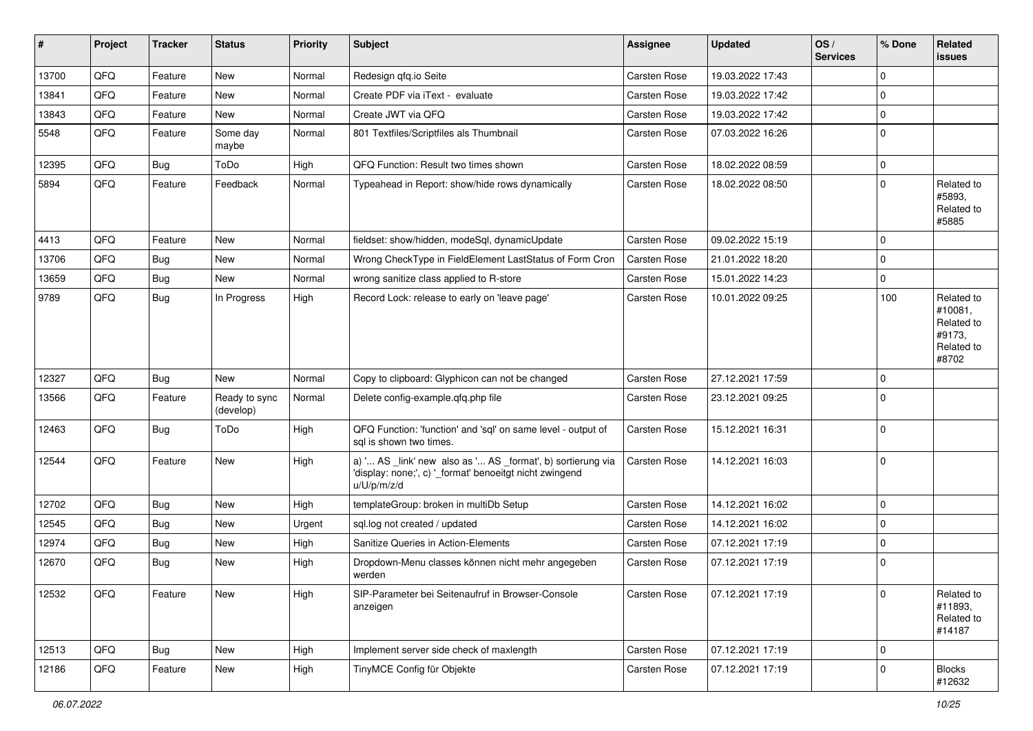| $\sharp$ | Project | <b>Tracker</b> | <b>Status</b>              | <b>Priority</b> | <b>Subject</b>                                                                                                                        | <b>Assignee</b>     | <b>Updated</b>   | OS/<br><b>Services</b> | % Done      | Related<br><b>issues</b>                                             |
|----------|---------|----------------|----------------------------|-----------------|---------------------------------------------------------------------------------------------------------------------------------------|---------------------|------------------|------------------------|-------------|----------------------------------------------------------------------|
| 13700    | QFQ     | Feature        | New                        | Normal          | Redesign qfq.io Seite                                                                                                                 | Carsten Rose        | 19.03.2022 17:43 |                        | $\Omega$    |                                                                      |
| 13841    | QFQ     | Feature        | <b>New</b>                 | Normal          | Create PDF via iText - evaluate                                                                                                       | <b>Carsten Rose</b> | 19.03.2022 17:42 |                        | $\Omega$    |                                                                      |
| 13843    | QFQ     | Feature        | <b>New</b>                 | Normal          | Create JWT via QFQ                                                                                                                    | Carsten Rose        | 19.03.2022 17:42 |                        | $\mathbf 0$ |                                                                      |
| 5548     | QFQ     | Feature        | Some day<br>maybe          | Normal          | 801 Textfiles/Scriptfiles als Thumbnail                                                                                               | Carsten Rose        | 07.03.2022 16:26 |                        | $\mathbf 0$ |                                                                      |
| 12395    | QFQ     | Bug            | ToDo                       | High            | QFQ Function: Result two times shown                                                                                                  | <b>Carsten Rose</b> | 18.02.2022 08:59 |                        | $\mathbf 0$ |                                                                      |
| 5894     | QFQ     | Feature        | Feedback                   | Normal          | Typeahead in Report: show/hide rows dynamically                                                                                       | Carsten Rose        | 18.02.2022 08:50 |                        | $\Omega$    | Related to<br>#5893,<br>Related to<br>#5885                          |
| 4413     | QFQ     | Feature        | <b>New</b>                 | Normal          | fieldset: show/hidden, modeSql, dynamicUpdate                                                                                         | Carsten Rose        | 09.02.2022 15:19 |                        | $\mathbf 0$ |                                                                      |
| 13706    | QFQ     | Bug            | <b>New</b>                 | Normal          | Wrong CheckType in FieldElement LastStatus of Form Cron                                                                               | <b>Carsten Rose</b> | 21.01.2022 18:20 |                        | $\mathbf 0$ |                                                                      |
| 13659    | QFQ     | Bug            | New                        | Normal          | wrong sanitize class applied to R-store                                                                                               | <b>Carsten Rose</b> | 15.01.2022 14:23 |                        | $\mathbf 0$ |                                                                      |
| 9789     | QFQ     | Bug            | In Progress                | High            | Record Lock: release to early on 'leave page'                                                                                         | <b>Carsten Rose</b> | 10.01.2022 09:25 |                        | 100         | Related to<br>#10081.<br>Related to<br>#9173,<br>Related to<br>#8702 |
| 12327    | QFQ     | <b>Bug</b>     | <b>New</b>                 | Normal          | Copy to clipboard: Glyphicon can not be changed                                                                                       | Carsten Rose        | 27.12.2021 17:59 |                        | $\mathbf 0$ |                                                                      |
| 13566    | QFQ     | Feature        | Ready to sync<br>(develop) | Normal          | Delete config-example.qfq.php file                                                                                                    | Carsten Rose        | 23.12.2021 09:25 |                        | $\mathbf 0$ |                                                                      |
| 12463    | QFQ     | <b>Bug</b>     | ToDo                       | High            | QFQ Function: 'function' and 'sql' on same level - output of<br>sal is shown two times.                                               | Carsten Rose        | 15.12.2021 16:31 |                        | 0           |                                                                      |
| 12544    | QFQ     | Feature        | New                        | High            | a) ' AS _link' new also as ' AS _format', b) sortierung via<br>'display: none;', c) '_format' benoeitgt nicht zwingend<br>u/U/p/m/z/d | Carsten Rose        | 14.12.2021 16:03 |                        | 0           |                                                                      |
| 12702    | QFQ     | Bug            | <b>New</b>                 | High            | templateGroup: broken in multiDb Setup                                                                                                | Carsten Rose        | 14.12.2021 16:02 |                        | $\mathbf 0$ |                                                                      |
| 12545    | QFQ     | <b>Bug</b>     | New                        | Urgent          | sql.log not created / updated                                                                                                         | Carsten Rose        | 14.12.2021 16:02 |                        | $\Omega$    |                                                                      |
| 12974    | QFQ     | Bug            | New                        | High            | Sanitize Queries in Action-Elements                                                                                                   | Carsten Rose        | 07.12.2021 17:19 |                        | $\mathbf 0$ |                                                                      |
| 12670    | QFQ     | Bug            | New                        | High            | Dropdown-Menu classes können nicht mehr angegeben<br>werden                                                                           | <b>Carsten Rose</b> | 07.12.2021 17:19 |                        | $\mathbf 0$ |                                                                      |
| 12532    | QFO     | Feature        | <b>New</b>                 | High            | SIP-Parameter bei Seitenaufruf in Browser-Console<br>anzeigen                                                                         | Carsten Rose        | 07.12.2021 17:19 |                        | 0           | Related to<br>#11893,<br>Related to<br>#14187                        |
| 12513    | QFQ     | <b>Bug</b>     | New                        | High            | Implement server side check of maxlength                                                                                              | Carsten Rose        | 07.12.2021 17:19 |                        | 0           |                                                                      |
| 12186    | QFQ     | Feature        | New                        | High            | TinyMCE Config für Objekte                                                                                                            | Carsten Rose        | 07.12.2021 17:19 |                        | 0           | <b>Blocks</b><br>#12632                                              |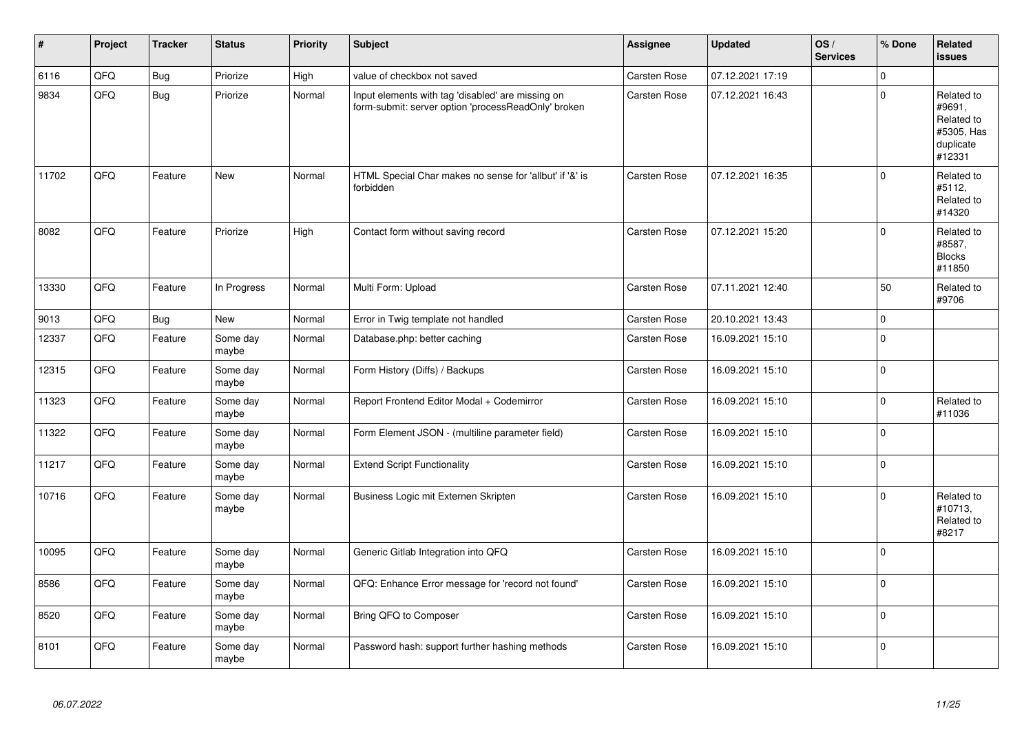| #     | Project | <b>Tracker</b> | <b>Status</b>     | <b>Priority</b> | <b>Subject</b>                                                                                           | Assignee            | <b>Updated</b>   | OS/<br><b>Services</b> | % Done      | Related<br><b>issues</b>                                                |
|-------|---------|----------------|-------------------|-----------------|----------------------------------------------------------------------------------------------------------|---------------------|------------------|------------------------|-------------|-------------------------------------------------------------------------|
| 6116  | QFQ     | Bug            | Priorize          | High            | value of checkbox not saved                                                                              | Carsten Rose        | 07.12.2021 17:19 |                        | $\Omega$    |                                                                         |
| 9834  | QFQ     | Bug            | Priorize          | Normal          | Input elements with tag 'disabled' are missing on<br>form-submit: server option 'processReadOnly' broken | Carsten Rose        | 07.12.2021 16:43 |                        | $\mathbf 0$ | Related to<br>#9691,<br>Related to<br>#5305, Has<br>duplicate<br>#12331 |
| 11702 | QFQ     | Feature        | <b>New</b>        | Normal          | HTML Special Char makes no sense for 'allbut' if '&' is<br>forbidden                                     | Carsten Rose        | 07.12.2021 16:35 |                        | $\mathbf 0$ | Related to<br>#5112,<br>Related to<br>#14320                            |
| 8082  | QFQ     | Feature        | Priorize          | High            | Contact form without saving record                                                                       | <b>Carsten Rose</b> | 07.12.2021 15:20 |                        | $\mathbf 0$ | Related to<br>#8587,<br><b>Blocks</b><br>#11850                         |
| 13330 | QFQ     | Feature        | In Progress       | Normal          | Multi Form: Upload                                                                                       | Carsten Rose        | 07.11.2021 12:40 |                        | 50          | Related to<br>#9706                                                     |
| 9013  | QFQ     | Bug            | <b>New</b>        | Normal          | Error in Twig template not handled                                                                       | <b>Carsten Rose</b> | 20.10.2021 13:43 |                        | $\pmb{0}$   |                                                                         |
| 12337 | QFQ     | Feature        | Some day<br>maybe | Normal          | Database.php: better caching                                                                             | <b>Carsten Rose</b> | 16.09.2021 15:10 |                        | $\mathbf 0$ |                                                                         |
| 12315 | QFQ     | Feature        | Some day<br>maybe | Normal          | Form History (Diffs) / Backups                                                                           | Carsten Rose        | 16.09.2021 15:10 |                        | $\pmb{0}$   |                                                                         |
| 11323 | QFQ     | Feature        | Some day<br>maybe | Normal          | Report Frontend Editor Modal + Codemirror                                                                | Carsten Rose        | 16.09.2021 15:10 |                        | $\pmb{0}$   | Related to<br>#11036                                                    |
| 11322 | QFQ     | Feature        | Some day<br>maybe | Normal          | Form Element JSON - (multiline parameter field)                                                          | Carsten Rose        | 16.09.2021 15:10 |                        | $\mathbf 0$ |                                                                         |
| 11217 | QFQ     | Feature        | Some day<br>maybe | Normal          | <b>Extend Script Functionality</b>                                                                       | <b>Carsten Rose</b> | 16.09.2021 15:10 |                        | $\mathbf 0$ |                                                                         |
| 10716 | QFQ     | Feature        | Some day<br>maybe | Normal          | Business Logic mit Externen Skripten                                                                     | <b>Carsten Rose</b> | 16.09.2021 15:10 |                        | $\mathbf 0$ | Related to<br>#10713,<br>Related to<br>#8217                            |
| 10095 | QFQ     | Feature        | Some day<br>maybe | Normal          | Generic Gitlab Integration into QFQ                                                                      | <b>Carsten Rose</b> | 16.09.2021 15:10 |                        | $\mathbf 0$ |                                                                         |
| 8586  | QFQ     | Feature        | Some day<br>maybe | Normal          | QFQ: Enhance Error message for 'record not found'                                                        | <b>Carsten Rose</b> | 16.09.2021 15:10 |                        | $\pmb{0}$   |                                                                         |
| 8520  | QFQ     | Feature        | Some day<br>maybe | Normal          | Bring QFQ to Composer                                                                                    | <b>Carsten Rose</b> | 16.09.2021 15:10 |                        | $\pmb{0}$   |                                                                         |
| 8101  | QFQ     | Feature        | Some day<br>maybe | Normal          | Password hash: support further hashing methods                                                           | <b>Carsten Rose</b> | 16.09.2021 15:10 |                        | $\mathbf 0$ |                                                                         |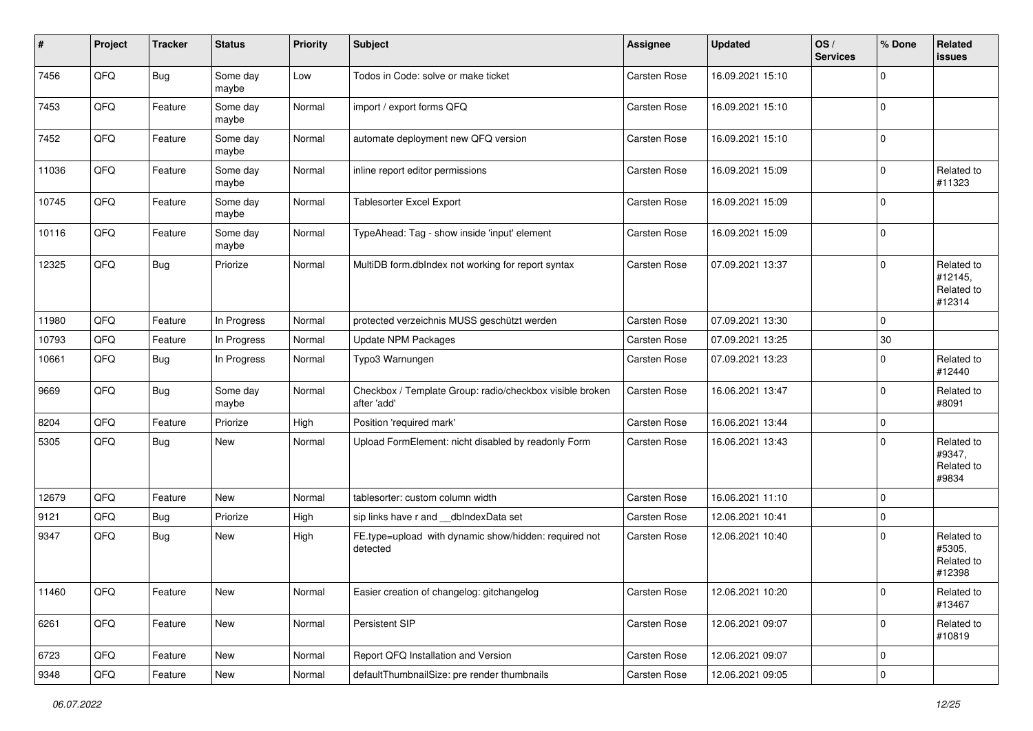| #     | Project        | <b>Tracker</b> | <b>Status</b>     | <b>Priority</b> | <b>Subject</b>                                                          | <b>Assignee</b>     | <b>Updated</b>   | OS/<br><b>Services</b> | % Done      | Related<br><b>issues</b>                      |
|-------|----------------|----------------|-------------------|-----------------|-------------------------------------------------------------------------|---------------------|------------------|------------------------|-------------|-----------------------------------------------|
| 7456  | QFQ            | <b>Bug</b>     | Some day<br>maybe | Low             | Todos in Code: solve or make ticket                                     | Carsten Rose        | 16.09.2021 15:10 |                        | $\Omega$    |                                               |
| 7453  | QFQ            | Feature        | Some day<br>maybe | Normal          | import / export forms QFQ                                               | Carsten Rose        | 16.09.2021 15:10 |                        | 0           |                                               |
| 7452  | QFQ            | Feature        | Some day<br>maybe | Normal          | automate deployment new QFQ version                                     | Carsten Rose        | 16.09.2021 15:10 |                        | $\mathbf 0$ |                                               |
| 11036 | QFQ            | Feature        | Some day<br>maybe | Normal          | inline report editor permissions                                        | <b>Carsten Rose</b> | 16.09.2021 15:09 |                        | $\mathbf 0$ | Related to<br>#11323                          |
| 10745 | QFQ            | Feature        | Some day<br>maybe | Normal          | <b>Tablesorter Excel Export</b>                                         | Carsten Rose        | 16.09.2021 15:09 |                        | $\mathbf 0$ |                                               |
| 10116 | QFQ            | Feature        | Some day<br>maybe | Normal          | TypeAhead: Tag - show inside 'input' element                            | Carsten Rose        | 16.09.2021 15:09 |                        | $\mathbf 0$ |                                               |
| 12325 | QFO            | <b>Bug</b>     | Priorize          | Normal          | MultiDB form.dbIndex not working for report syntax                      | Carsten Rose        | 07.09.2021 13:37 |                        | $\Omega$    | Related to<br>#12145,<br>Related to<br>#12314 |
| 11980 | QFQ            | Feature        | In Progress       | Normal          | protected verzeichnis MUSS geschützt werden                             | Carsten Rose        | 07.09.2021 13:30 |                        | $\mathbf 0$ |                                               |
| 10793 | QFQ            | Feature        | In Progress       | Normal          | <b>Update NPM Packages</b>                                              | <b>Carsten Rose</b> | 07.09.2021 13:25 |                        | 30          |                                               |
| 10661 | QFQ            | Bug            | In Progress       | Normal          | Typo3 Warnungen                                                         | Carsten Rose        | 07.09.2021 13:23 |                        | $\Omega$    | Related to<br>#12440                          |
| 9669  | QFQ            | Bug            | Some day<br>maybe | Normal          | Checkbox / Template Group: radio/checkbox visible broken<br>after 'add' | Carsten Rose        | 16.06.2021 13:47 |                        | $\mathbf 0$ | Related to<br>#8091                           |
| 8204  | QFQ            | Feature        | Priorize          | High            | Position 'required mark'                                                | Carsten Rose        | 16.06.2021 13:44 |                        | $\mathbf 0$ |                                               |
| 5305  | QFQ            | Bug            | New               | Normal          | Upload FormElement: nicht disabled by readonly Form                     | Carsten Rose        | 16.06.2021 13:43 |                        | $\Omega$    | Related to<br>#9347,<br>Related to<br>#9834   |
| 12679 | QFQ            | Feature        | <b>New</b>        | Normal          | tablesorter: custom column width                                        | Carsten Rose        | 16.06.2021 11:10 |                        | $\mathbf 0$ |                                               |
| 9121  | QFQ            | Bug            | Priorize          | High            | sip links have r and __dbIndexData set                                  | Carsten Rose        | 12.06.2021 10:41 |                        | $\mathbf 0$ |                                               |
| 9347  | QFQ            | Bug            | New               | High            | FE.type=upload with dynamic show/hidden: required not<br>detected       | Carsten Rose        | 12.06.2021 10:40 |                        | $\Omega$    | Related to<br>#5305,<br>Related to<br>#12398  |
| 11460 | QFQ            | Feature        | New               | Normal          | Easier creation of changelog: gitchangelog                              | Carsten Rose        | 12.06.2021 10:20 |                        | 0           | Related to<br>#13467                          |
| 6261  | QFO            | Feature        | New               | Normal          | Persistent SIP                                                          | Carsten Rose        | 12.06.2021 09:07 |                        | $\mathbf 0$ | Related to<br>#10819                          |
| 6723  | QFQ            | Feature        | New               | Normal          | Report QFQ Installation and Version                                     | Carsten Rose        | 12.06.2021 09:07 |                        | 0           |                                               |
| 9348  | $\mathsf{QFQ}$ | Feature        | New               | Normal          | defaultThumbnailSize: pre render thumbnails                             | Carsten Rose        | 12.06.2021 09:05 |                        | 0           |                                               |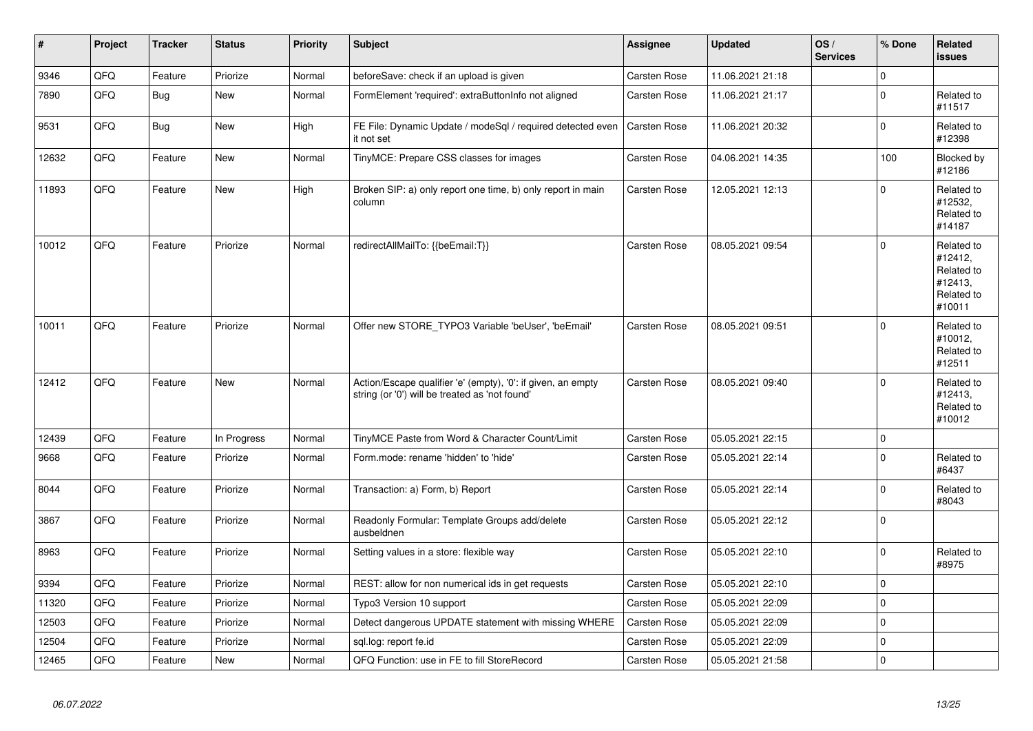| $\vert$ # | Project | <b>Tracker</b> | <b>Status</b> | <b>Priority</b> | <b>Subject</b>                                                                                                 | Assignee            | <b>Updated</b>   | OS/<br><b>Services</b> | % Done      | Related<br><b>issues</b>                                               |
|-----------|---------|----------------|---------------|-----------------|----------------------------------------------------------------------------------------------------------------|---------------------|------------------|------------------------|-------------|------------------------------------------------------------------------|
| 9346      | QFQ     | Feature        | Priorize      | Normal          | beforeSave: check if an upload is given                                                                        | <b>Carsten Rose</b> | 11.06.2021 21:18 |                        | $\mathbf 0$ |                                                                        |
| 7890      | QFQ     | <b>Bug</b>     | <b>New</b>    | Normal          | FormElement 'required': extraButtonInfo not aligned                                                            | Carsten Rose        | 11.06.2021 21:17 |                        | $\Omega$    | Related to<br>#11517                                                   |
| 9531      | QFQ     | <b>Bug</b>     | <b>New</b>    | High            | FE File: Dynamic Update / modeSql / required detected even<br>it not set                                       | Carsten Rose        | 11.06.2021 20:32 |                        | $\Omega$    | Related to<br>#12398                                                   |
| 12632     | QFQ     | Feature        | <b>New</b>    | Normal          | TinyMCE: Prepare CSS classes for images                                                                        | Carsten Rose        | 04.06.2021 14:35 |                        | 100         | Blocked by<br>#12186                                                   |
| 11893     | QFQ     | Feature        | <b>New</b>    | High            | Broken SIP: a) only report one time, b) only report in main<br>column                                          | <b>Carsten Rose</b> | 12.05.2021 12:13 |                        | $\Omega$    | Related to<br>#12532,<br>Related to<br>#14187                          |
| 10012     | QFQ     | Feature        | Priorize      | Normal          | redirectAllMailTo: {{beEmail:T}}                                                                               | Carsten Rose        | 08.05.2021 09:54 |                        | $\Omega$    | Related to<br>#12412,<br>Related to<br>#12413,<br>Related to<br>#10011 |
| 10011     | QFQ     | Feature        | Priorize      | Normal          | Offer new STORE_TYPO3 Variable 'beUser', 'beEmail'                                                             | Carsten Rose        | 08.05.2021 09:51 |                        | $\Omega$    | Related to<br>#10012,<br>Related to<br>#12511                          |
| 12412     | QFQ     | Feature        | <b>New</b>    | Normal          | Action/Escape qualifier 'e' (empty), '0': if given, an empty<br>string (or '0') will be treated as 'not found' | Carsten Rose        | 08.05.2021 09:40 |                        | $\Omega$    | Related to<br>#12413,<br>Related to<br>#10012                          |
| 12439     | QFQ     | Feature        | In Progress   | Normal          | TinyMCE Paste from Word & Character Count/Limit                                                                | <b>Carsten Rose</b> | 05.05.2021 22:15 |                        | $\Omega$    |                                                                        |
| 9668      | QFQ     | Feature        | Priorize      | Normal          | Form.mode: rename 'hidden' to 'hide'                                                                           | Carsten Rose        | 05.05.2021 22:14 |                        | $\Omega$    | Related to<br>#6437                                                    |
| 8044      | QFQ     | Feature        | Priorize      | Normal          | Transaction: a) Form, b) Report                                                                                | <b>Carsten Rose</b> | 05.05.2021 22:14 |                        | $\Omega$    | Related to<br>#8043                                                    |
| 3867      | QFQ     | Feature        | Priorize      | Normal          | Readonly Formular: Template Groups add/delete<br>ausbeldnen                                                    | Carsten Rose        | 05.05.2021 22:12 |                        | $\Omega$    |                                                                        |
| 8963      | QFQ     | Feature        | Priorize      | Normal          | Setting values in a store: flexible way                                                                        | Carsten Rose        | 05.05.2021 22:10 |                        | $\Omega$    | Related to<br>#8975                                                    |
| 9394      | QFQ     | Feature        | Priorize      | Normal          | REST: allow for non numerical ids in get requests                                                              | Carsten Rose        | 05.05.2021 22:10 |                        | $\Omega$    |                                                                        |
| 11320     | QFQ     | Feature        | Priorize      | Normal          | Typo3 Version 10 support                                                                                       | Carsten Rose        | 05.05.2021 22:09 |                        | $\mathbf 0$ |                                                                        |
| 12503     | QFQ     | Feature        | Priorize      | Normal          | Detect dangerous UPDATE statement with missing WHERE                                                           | Carsten Rose        | 05.05.2021 22:09 |                        | $\pmb{0}$   |                                                                        |
| 12504     | QFQ     | Feature        | Priorize      | Normal          | sql.log: report fe.id                                                                                          | Carsten Rose        | 05.05.2021 22:09 |                        | $\mathbf 0$ |                                                                        |
| 12465     | QFQ     | Feature        | New           | Normal          | QFQ Function: use in FE to fill StoreRecord                                                                    | Carsten Rose        | 05.05.2021 21:58 |                        | $\mathbf 0$ |                                                                        |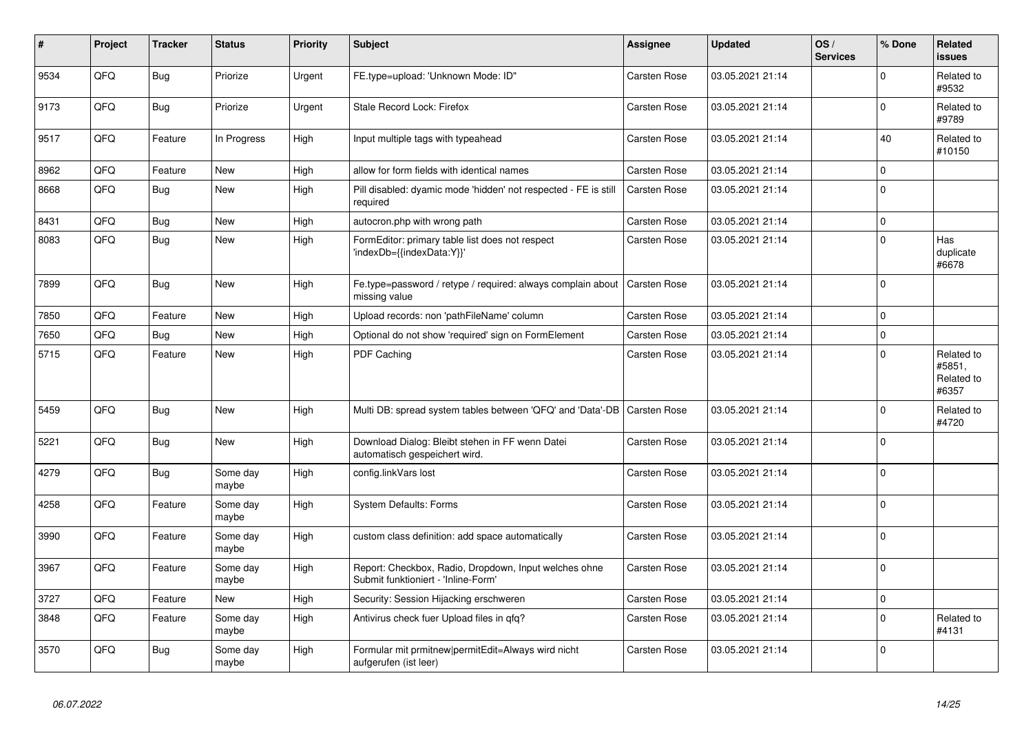| #    | Project | <b>Tracker</b> | <b>Status</b>     | <b>Priority</b> | <b>Subject</b>                                                                               | Assignee            | <b>Updated</b>   | OS/<br><b>Services</b> | % Done      | Related<br><b>issues</b>                    |
|------|---------|----------------|-------------------|-----------------|----------------------------------------------------------------------------------------------|---------------------|------------------|------------------------|-------------|---------------------------------------------|
| 9534 | QFQ     | <b>Bug</b>     | Priorize          | Urgent          | FE.type=upload: 'Unknown Mode: ID"                                                           | <b>Carsten Rose</b> | 03.05.2021 21:14 |                        | $\Omega$    | Related to<br>#9532                         |
| 9173 | QFQ     | <b>Bug</b>     | Priorize          | Urgent          | Stale Record Lock: Firefox                                                                   | Carsten Rose        | 03.05.2021 21:14 |                        | $\mathbf 0$ | Related to<br>#9789                         |
| 9517 | QFQ     | Feature        | In Progress       | High            | Input multiple tags with typeahead                                                           | Carsten Rose        | 03.05.2021 21:14 |                        | 40          | Related to<br>#10150                        |
| 8962 | QFQ     | Feature        | <b>New</b>        | High            | allow for form fields with identical names                                                   | <b>Carsten Rose</b> | 03.05.2021 21:14 |                        | $\mathbf 0$ |                                             |
| 8668 | QFQ     | <b>Bug</b>     | New               | High            | Pill disabled: dyamic mode 'hidden' not respected - FE is still<br>required                  | Carsten Rose        | 03.05.2021 21:14 |                        | $\Omega$    |                                             |
| 8431 | QFQ     | Bug            | <b>New</b>        | High            | autocron.php with wrong path                                                                 | <b>Carsten Rose</b> | 03.05.2021 21:14 |                        | $\mathbf 0$ |                                             |
| 8083 | QFQ     | <b>Bug</b>     | New               | High            | FormEditor: primary table list does not respect<br>'indexDb={{indexData:Y}}'                 | <b>Carsten Rose</b> | 03.05.2021 21:14 |                        | $\mathbf 0$ | Has<br>duplicate<br>#6678                   |
| 7899 | QFQ     | Bug            | New               | High            | Fe.type=password / retype / required: always complain about<br>missing value                 | Carsten Rose        | 03.05.2021 21:14 |                        | $\Omega$    |                                             |
| 7850 | QFQ     | Feature        | New               | High            | Upload records: non 'pathFileName' column                                                    | Carsten Rose        | 03.05.2021 21:14 |                        | $\Omega$    |                                             |
| 7650 | QFQ     | Bug            | New               | High            | Optional do not show 'required' sign on FormElement                                          | <b>Carsten Rose</b> | 03.05.2021 21:14 |                        | $\mathbf 0$ |                                             |
| 5715 | QFQ     | Feature        | New               | High            | PDF Caching                                                                                  | Carsten Rose        | 03.05.2021 21:14 |                        | $\mathbf 0$ | Related to<br>#5851,<br>Related to<br>#6357 |
| 5459 | QFQ     | <b>Bug</b>     | New               | High            | Multi DB: spread system tables between 'QFQ' and 'Data'-DB   Carsten Rose                    |                     | 03.05.2021 21:14 |                        | $\Omega$    | Related to<br>#4720                         |
| 5221 | QFQ     | Bug            | New               | High            | Download Dialog: Bleibt stehen in FF wenn Datei<br>automatisch gespeichert wird.             | <b>Carsten Rose</b> | 03.05.2021 21:14 |                        | $\mathbf 0$ |                                             |
| 4279 | QFQ     | Bug            | Some day<br>maybe | High            | config.linkVars lost                                                                         | <b>Carsten Rose</b> | 03.05.2021 21:14 |                        | $\Omega$    |                                             |
| 4258 | QFQ     | Feature        | Some day<br>maybe | High            | <b>System Defaults: Forms</b>                                                                | <b>Carsten Rose</b> | 03.05.2021 21:14 |                        | $\Omega$    |                                             |
| 3990 | QFQ     | Feature        | Some day<br>maybe | High            | custom class definition: add space automatically                                             | Carsten Rose        | 03.05.2021 21:14 |                        | $\Omega$    |                                             |
| 3967 | QFQ     | Feature        | Some day<br>maybe | High            | Report: Checkbox, Radio, Dropdown, Input welches ohne<br>Submit funktioniert - 'Inline-Form' | Carsten Rose        | 03.05.2021 21:14 |                        | $\mathbf 0$ |                                             |
| 3727 | QFQ     | Feature        | <b>New</b>        | High            | Security: Session Hijacking erschweren                                                       | Carsten Rose        | 03.05.2021 21:14 |                        | $\mathbf 0$ |                                             |
| 3848 | QFQ     | Feature        | Some day<br>maybe | High            | Antivirus check fuer Upload files in qfq?                                                    | Carsten Rose        | 03.05.2021 21:14 |                        | $\Omega$    | Related to<br>#4131                         |
| 3570 | QFQ     | <b>Bug</b>     | Some day<br>maybe | High            | Formular mit prmitnew permitEdit=Always wird nicht<br>aufgerufen (ist leer)                  | <b>Carsten Rose</b> | 03.05.2021 21:14 |                        | $\Omega$    |                                             |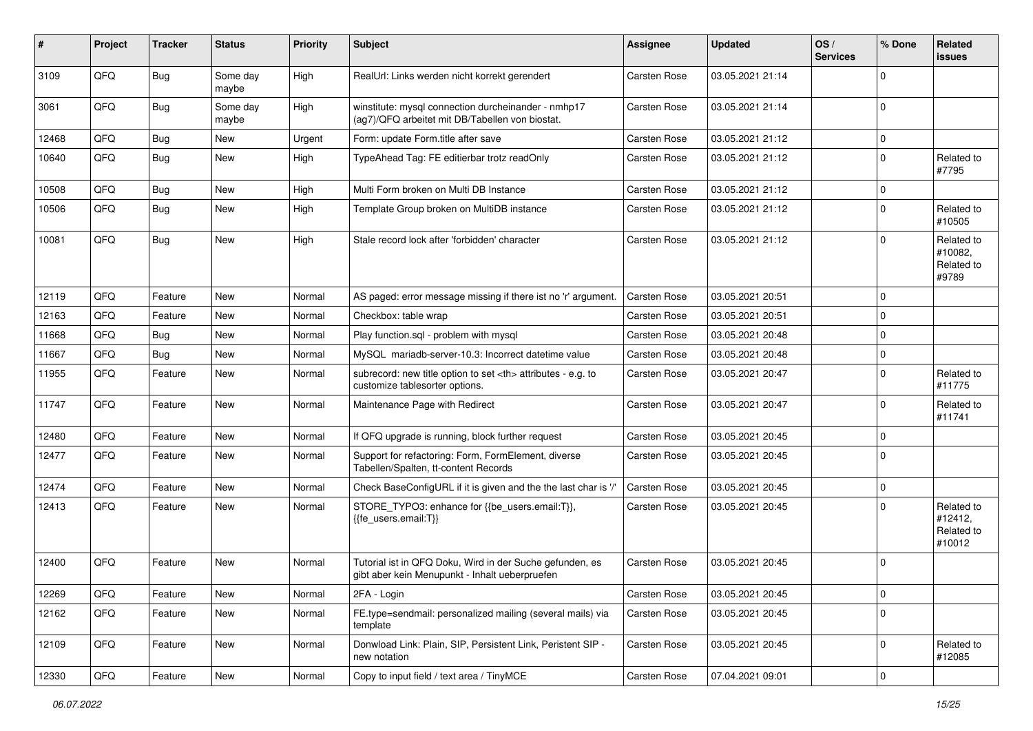| #     | Project | <b>Tracker</b> | <b>Status</b>     | <b>Priority</b> | Subject                                                                                                    | Assignee                                               | <b>Updated</b>   | OS/<br><b>Services</b> | % Done      | Related<br><b>issues</b>                      |                      |
|-------|---------|----------------|-------------------|-----------------|------------------------------------------------------------------------------------------------------------|--------------------------------------------------------|------------------|------------------------|-------------|-----------------------------------------------|----------------------|
| 3109  | QFQ     | Bug            | Some day<br>maybe | High            | RealUrl: Links werden nicht korrekt gerendert                                                              | Carsten Rose                                           | 03.05.2021 21:14 |                        | $\Omega$    |                                               |                      |
| 3061  | QFQ     | <b>Bug</b>     | Some day<br>maybe | High            | winstitute: mysql connection durcheinander - nmhp17<br>(ag7)/QFQ arbeitet mit DB/Tabellen von biostat.     | Carsten Rose                                           | 03.05.2021 21:14 |                        | $\mathbf 0$ |                                               |                      |
| 12468 | QFQ     | Bug            | <b>New</b>        | Urgent          | Form: update Form.title after save                                                                         | Carsten Rose                                           | 03.05.2021 21:12 |                        | $\mathbf 0$ |                                               |                      |
| 10640 | QFQ     | Bug            | New               | High            | TypeAhead Tag: FE editierbar trotz readOnly                                                                | Carsten Rose                                           | 03.05.2021 21:12 |                        | $\mathbf 0$ | Related to<br>#7795                           |                      |
| 10508 | QFQ     | Bug            | <b>New</b>        | High            | Multi Form broken on Multi DB Instance                                                                     | Carsten Rose                                           | 03.05.2021 21:12 |                        | $\mathbf 0$ |                                               |                      |
| 10506 | QFQ     | Bug            | New               | High            | Template Group broken on MultiDB instance                                                                  | Carsten Rose                                           | 03.05.2021 21:12 |                        | $\mathbf 0$ | Related to<br>#10505                          |                      |
| 10081 | QFQ     | Bug            | <b>New</b>        | High            | Stale record lock after 'forbidden' character                                                              | Carsten Rose                                           | 03.05.2021 21:12 |                        | $\Omega$    | Related to<br>#10082,<br>Related to<br>#9789  |                      |
| 12119 | QFQ     | Feature        | <b>New</b>        | Normal          | AS paged: error message missing if there ist no 'r' argument.                                              | <b>Carsten Rose</b>                                    | 03.05.2021 20:51 |                        | $\mathbf 0$ |                                               |                      |
| 12163 | QFQ     | Feature        | <b>New</b>        | Normal          | Checkbox: table wrap                                                                                       | Carsten Rose                                           | 03.05.2021 20:51 |                        | $\mathbf 0$ |                                               |                      |
| 11668 | QFQ     | <b>Bug</b>     | New               | Normal          | Play function.sql - problem with mysql                                                                     | Carsten Rose                                           | 03.05.2021 20:48 |                        | $\mathbf 0$ |                                               |                      |
| 11667 | QFQ     | Bug            | New               | Normal          | MySQL mariadb-server-10.3: Incorrect datetime value                                                        | Carsten Rose                                           | 03.05.2021 20:48 |                        | $\mathbf 0$ |                                               |                      |
| 11955 | QFQ     | Feature        | New               | Normal          | subrecord: new title option to set <th> attributes - e.g. to<br/>customize tablesorter options.</th>       | attributes - e.g. to<br>customize tablesorter options. | Carsten Rose     | 03.05.2021 20:47       |             | $\Omega$                                      | Related to<br>#11775 |
| 11747 | QFQ     | Feature        | <b>New</b>        | Normal          | Maintenance Page with Redirect                                                                             | Carsten Rose                                           | 03.05.2021 20:47 |                        | $\mathbf 0$ | Related to<br>#11741                          |                      |
| 12480 | QFQ     | Feature        | <b>New</b>        | Normal          | If QFQ upgrade is running, block further request                                                           | Carsten Rose                                           | 03.05.2021 20:45 |                        | $\mathbf 0$ |                                               |                      |
| 12477 | QFQ     | Feature        | <b>New</b>        | Normal          | Support for refactoring: Form, FormElement, diverse<br>Tabellen/Spalten, tt-content Records                | Carsten Rose                                           | 03.05.2021 20:45 |                        | $\mathbf 0$ |                                               |                      |
| 12474 | QFQ     | Feature        | <b>New</b>        | Normal          | Check BaseConfigURL if it is given and the the last char is '/'                                            | <b>Carsten Rose</b>                                    | 03.05.2021 20:45 |                        | $\mathbf 0$ |                                               |                      |
| 12413 | QFQ     | Feature        | <b>New</b>        | Normal          | STORE_TYPO3: enhance for {{be_users.email:T}},<br>{{fe_users.email:T}}                                     | Carsten Rose                                           | 03.05.2021 20:45 |                        | $\Omega$    | Related to<br>#12412,<br>Related to<br>#10012 |                      |
| 12400 | QFQ     | Feature        | New               | Normal          | Tutorial ist in QFQ Doku, Wird in der Suche gefunden, es<br>gibt aber kein Menupunkt - Inhalt ueberpruefen | Carsten Rose                                           | 03.05.2021 20:45 |                        | $\mathbf 0$ |                                               |                      |
| 12269 | QFQ     | Feature        | New               | Normal          | 2FA - Login                                                                                                | Carsten Rose                                           | 03.05.2021 20:45 |                        | $\mathbf 0$ |                                               |                      |
| 12162 | QFQ     | Feature        | New               | Normal          | FE.type=sendmail: personalized mailing (several mails) via<br>template                                     | Carsten Rose                                           | 03.05.2021 20:45 |                        | $\mathbf 0$ |                                               |                      |
| 12109 | QFQ     | Feature        | New               | Normal          | Donwload Link: Plain, SIP, Persistent Link, Peristent SIP -<br>new notation                                | Carsten Rose                                           | 03.05.2021 20:45 |                        | $\mathbf 0$ | Related to<br>#12085                          |                      |
| 12330 | QFQ     | Feature        | New               | Normal          | Copy to input field / text area / TinyMCE                                                                  | Carsten Rose                                           | 07.04.2021 09:01 |                        | $\mathbf 0$ |                                               |                      |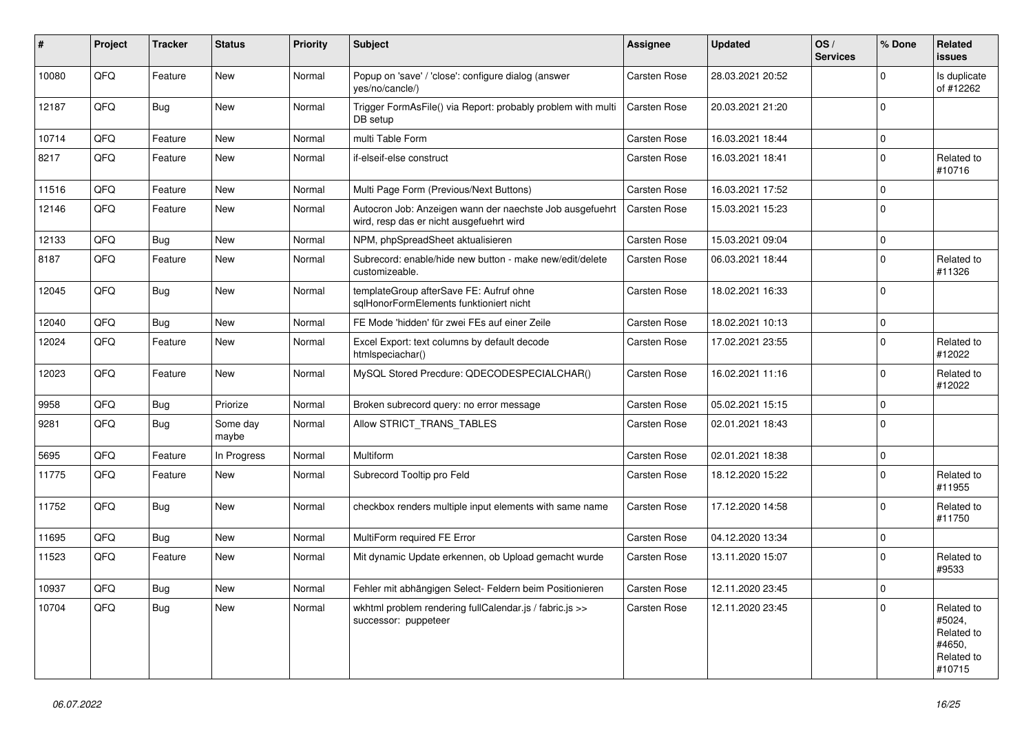| ∦     | Project | <b>Tracker</b> | <b>Status</b>     | <b>Priority</b> | <b>Subject</b>                                                                                       | <b>Assignee</b>     | <b>Updated</b>   | OS/<br><b>Services</b> | % Done      | Related<br><b>issues</b>                                             |
|-------|---------|----------------|-------------------|-----------------|------------------------------------------------------------------------------------------------------|---------------------|------------------|------------------------|-------------|----------------------------------------------------------------------|
| 10080 | QFQ     | Feature        | <b>New</b>        | Normal          | Popup on 'save' / 'close': configure dialog (answer<br>yes/no/cancle/)                               | <b>Carsten Rose</b> | 28.03.2021 20:52 |                        | $\Omega$    | Is duplicate<br>of #12262                                            |
| 12187 | QFQ     | <b>Bug</b>     | <b>New</b>        | Normal          | Trigger FormAsFile() via Report: probably problem with multi<br>DB setup                             | <b>Carsten Rose</b> | 20.03.2021 21:20 |                        | $\mathbf 0$ |                                                                      |
| 10714 | QFQ     | Feature        | <b>New</b>        | Normal          | multi Table Form                                                                                     | Carsten Rose        | 16.03.2021 18:44 |                        | $\Omega$    |                                                                      |
| 8217  | QFQ     | Feature        | <b>New</b>        | Normal          | if-elseif-else construct                                                                             | Carsten Rose        | 16.03.2021 18:41 |                        | $\Omega$    | Related to<br>#10716                                                 |
| 11516 | QFQ     | Feature        | <b>New</b>        | Normal          | Multi Page Form (Previous/Next Buttons)                                                              | Carsten Rose        | 16.03.2021 17:52 |                        | $\Omega$    |                                                                      |
| 12146 | QFQ     | Feature        | <b>New</b>        | Normal          | Autocron Job: Anzeigen wann der naechste Job ausgefuehrt<br>wird, resp das er nicht ausgefuehrt wird | Carsten Rose        | 15.03.2021 15:23 |                        | $\Omega$    |                                                                      |
| 12133 | QFQ     | Bug            | <b>New</b>        | Normal          | NPM, phpSpreadSheet aktualisieren                                                                    | Carsten Rose        | 15.03.2021 09:04 |                        | $\mathbf 0$ |                                                                      |
| 8187  | QFQ     | Feature        | <b>New</b>        | Normal          | Subrecord: enable/hide new button - make new/edit/delete<br>customizeable.                           | <b>Carsten Rose</b> | 06.03.2021 18:44 |                        | $\Omega$    | Related to<br>#11326                                                 |
| 12045 | QFQ     | Bug            | <b>New</b>        | Normal          | templateGroup afterSave FE: Aufruf ohne<br>sqlHonorFormElements funktioniert nicht                   | Carsten Rose        | 18.02.2021 16:33 |                        | $\mathbf 0$ |                                                                      |
| 12040 | QFQ     | Bug            | <b>New</b>        | Normal          | FE Mode 'hidden' für zwei FEs auf einer Zeile                                                        | <b>Carsten Rose</b> | 18.02.2021 10:13 |                        | $\mathbf 0$ |                                                                      |
| 12024 | QFQ     | Feature        | <b>New</b>        | Normal          | Excel Export: text columns by default decode<br>htmlspeciachar()                                     | Carsten Rose        | 17.02.2021 23:55 |                        | $\mathbf 0$ | Related to<br>#12022                                                 |
| 12023 | QFQ     | Feature        | New               | Normal          | MySQL Stored Precdure: QDECODESPECIALCHAR()                                                          | Carsten Rose        | 16.02.2021 11:16 |                        | $\Omega$    | Related to<br>#12022                                                 |
| 9958  | QFQ     | <b>Bug</b>     | Priorize          | Normal          | Broken subrecord query: no error message                                                             | Carsten Rose        | 05.02.2021 15:15 |                        | $\mathbf 0$ |                                                                      |
| 9281  | QFQ     | Bug            | Some day<br>maybe | Normal          | Allow STRICT TRANS TABLES                                                                            | Carsten Rose        | 02.01.2021 18:43 |                        | $\Omega$    |                                                                      |
| 5695  | QFQ     | Feature        | In Progress       | Normal          | Multiform                                                                                            | Carsten Rose        | 02.01.2021 18:38 |                        | $\mathbf 0$ |                                                                      |
| 11775 | QFQ     | Feature        | <b>New</b>        | Normal          | Subrecord Tooltip pro Feld                                                                           | Carsten Rose        | 18.12.2020 15:22 |                        | $\Omega$    | Related to<br>#11955                                                 |
| 11752 | QFQ     | Bug            | <b>New</b>        | Normal          | checkbox renders multiple input elements with same name                                              | Carsten Rose        | 17.12.2020 14:58 |                        | $\Omega$    | Related to<br>#11750                                                 |
| 11695 | QFQ     | <b>Bug</b>     | <b>New</b>        | Normal          | MultiForm required FE Error                                                                          | Carsten Rose        | 04.12.2020 13:34 |                        | $\pmb{0}$   |                                                                      |
| 11523 | QFQ     | Feature        | <b>New</b>        | Normal          | Mit dynamic Update erkennen, ob Upload gemacht wurde                                                 | Carsten Rose        | 13.11.2020 15:07 |                        | $\Omega$    | Related to<br>#9533                                                  |
| 10937 | QFQ     | <b>Bug</b>     | <b>New</b>        | Normal          | Fehler mit abhängigen Select- Feldern beim Positionieren                                             | Carsten Rose        | 12.11.2020 23:45 |                        | $\mathbf 0$ |                                                                      |
| 10704 | QFQ     | <b>Bug</b>     | <b>New</b>        | Normal          | wkhtml problem rendering fullCalendar.js / fabric.js >><br>successor: puppeteer                      | <b>Carsten Rose</b> | 12.11.2020 23:45 |                        | $\Omega$    | Related to<br>#5024,<br>Related to<br>#4650,<br>Related to<br>#10715 |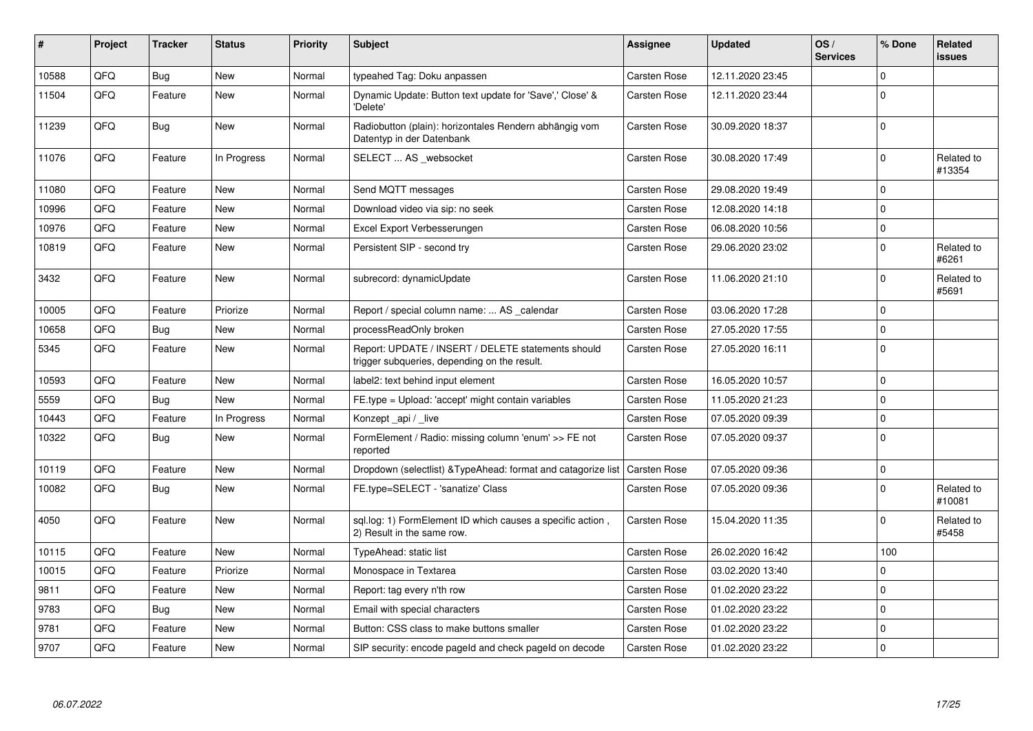| ∦     | Project | <b>Tracker</b> | <b>Status</b> | Priority | <b>Subject</b>                                                                                     | <b>Assignee</b>     | <b>Updated</b>   | OS/<br><b>Services</b> | % Done      | Related<br><b>issues</b> |
|-------|---------|----------------|---------------|----------|----------------------------------------------------------------------------------------------------|---------------------|------------------|------------------------|-------------|--------------------------|
| 10588 | QFQ     | <b>Bug</b>     | <b>New</b>    | Normal   | typeahed Tag: Doku anpassen                                                                        | Carsten Rose        | 12.11.2020 23:45 |                        | $\Omega$    |                          |
| 11504 | QFQ     | Feature        | <b>New</b>    | Normal   | Dynamic Update: Button text update for 'Save',' Close' &<br>'Delete'                               | Carsten Rose        | 12.11.2020 23:44 |                        | $\Omega$    |                          |
| 11239 | QFQ     | <b>Bug</b>     | <b>New</b>    | Normal   | Radiobutton (plain): horizontales Rendern abhängig vom<br>Datentyp in der Datenbank                | Carsten Rose        | 30.09.2020 18:37 |                        | $\Omega$    |                          |
| 11076 | QFQ     | Feature        | In Progress   | Normal   | SELECT  AS _websocket                                                                              | <b>Carsten Rose</b> | 30.08.2020 17:49 |                        | $\Omega$    | Related to<br>#13354     |
| 11080 | QFQ     | Feature        | <b>New</b>    | Normal   | Send MQTT messages                                                                                 | Carsten Rose        | 29.08.2020 19:49 |                        | $\mathbf 0$ |                          |
| 10996 | QFQ     | Feature        | <b>New</b>    | Normal   | Download video via sip: no seek                                                                    | Carsten Rose        | 12.08.2020 14:18 |                        | $\mathbf 0$ |                          |
| 10976 | QFQ     | Feature        | New           | Normal   | Excel Export Verbesserungen                                                                        | Carsten Rose        | 06.08.2020 10:56 |                        | $\mathbf 0$ |                          |
| 10819 | QFQ     | Feature        | New           | Normal   | Persistent SIP - second try                                                                        | Carsten Rose        | 29.06.2020 23:02 |                        | $\Omega$    | Related to<br>#6261      |
| 3432  | QFQ     | Feature        | <b>New</b>    | Normal   | subrecord: dynamicUpdate                                                                           | Carsten Rose        | 11.06.2020 21:10 |                        | $\mathbf 0$ | Related to<br>#5691      |
| 10005 | QFQ     | Feature        | Priorize      | Normal   | Report / special column name:  AS calendar                                                         | Carsten Rose        | 03.06.2020 17:28 |                        | $\Omega$    |                          |
| 10658 | QFQ     | Bug            | <b>New</b>    | Normal   | processReadOnly broken                                                                             | Carsten Rose        | 27.05.2020 17:55 |                        | $\mathbf 0$ |                          |
| 5345  | QFQ     | Feature        | New           | Normal   | Report: UPDATE / INSERT / DELETE statements should<br>trigger subqueries, depending on the result. | <b>Carsten Rose</b> | 27.05.2020 16:11 |                        | $\mathbf 0$ |                          |
| 10593 | QFQ     | Feature        | <b>New</b>    | Normal   | label2: text behind input element                                                                  | Carsten Rose        | 16.05.2020 10:57 |                        | $\mathbf 0$ |                          |
| 5559  | QFQ     | <b>Bug</b>     | <b>New</b>    | Normal   | FE.type = Upload: 'accept' might contain variables                                                 | Carsten Rose        | 11.05.2020 21:23 |                        | $\mathbf 0$ |                          |
| 10443 | QFQ     | Feature        | In Progress   | Normal   | Konzept_api / _live                                                                                | <b>Carsten Rose</b> | 07.05.2020 09:39 |                        | $\Omega$    |                          |
| 10322 | QFQ     | <b>Bug</b>     | New           | Normal   | FormElement / Radio: missing column 'enum' >> FE not<br>reported                                   | <b>Carsten Rose</b> | 07.05.2020 09:37 |                        | $\Omega$    |                          |
| 10119 | QFQ     | Feature        | New           | Normal   | Dropdown (selectlist) & Type Ahead: format and catagorize list                                     | Carsten Rose        | 07.05.2020 09:36 |                        | $\mathbf 0$ |                          |
| 10082 | QFQ     | <b>Bug</b>     | <b>New</b>    | Normal   | FE.type=SELECT - 'sanatize' Class                                                                  | Carsten Rose        | 07.05.2020 09:36 |                        | $\Omega$    | Related to<br>#10081     |
| 4050  | QFQ     | Feature        | New           | Normal   | sgl.log: 1) FormElement ID which causes a specific action,<br>2) Result in the same row.           | Carsten Rose        | 15.04.2020 11:35 |                        | $\Omega$    | Related to<br>#5458      |
| 10115 | QFQ     | Feature        | <b>New</b>    | Normal   | TypeAhead: static list                                                                             | <b>Carsten Rose</b> | 26.02.2020 16:42 |                        | 100         |                          |
| 10015 | QFQ     | Feature        | Priorize      | Normal   | Monospace in Textarea                                                                              | Carsten Rose        | 03.02.2020 13:40 |                        | $\mathbf 0$ |                          |
| 9811  | QFQ     | Feature        | <b>New</b>    | Normal   | Report: tag every n'th row                                                                         | Carsten Rose        | 01.02.2020 23:22 |                        | $\mathbf 0$ |                          |
| 9783  | QFQ     | Bug            | <b>New</b>    | Normal   | Email with special characters                                                                      | Carsten Rose        | 01.02.2020 23:22 |                        | $\mathbf 0$ |                          |
| 9781  | QFQ     | Feature        | <b>New</b>    | Normal   | Button: CSS class to make buttons smaller                                                          | Carsten Rose        | 01.02.2020 23:22 |                        | $\Omega$    |                          |
| 9707  | QFQ     | Feature        | <b>New</b>    | Normal   | SIP security: encode pageld and check pageld on decode                                             | Carsten Rose        | 01.02.2020 23:22 |                        | $\mathbf 0$ |                          |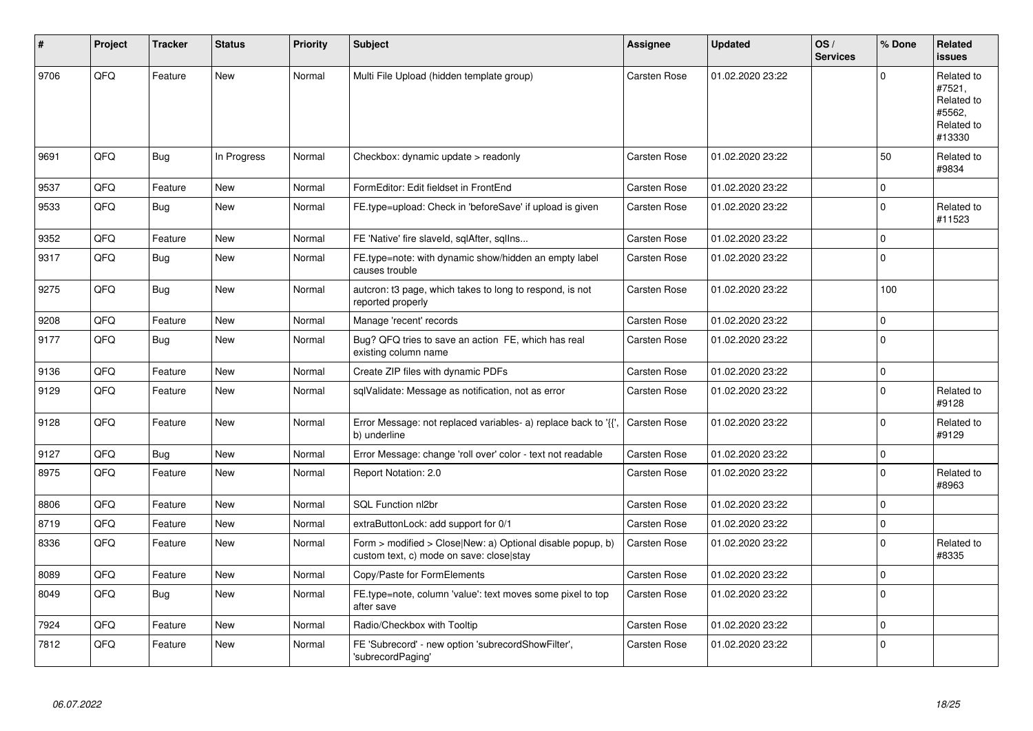| #    | Project | <b>Tracker</b> | <b>Status</b> | <b>Priority</b> | <b>Subject</b>                                                                                         | Assignee            | <b>Updated</b>   | OS/<br><b>Services</b> | % Done      | Related<br><b>issues</b>                                             |
|------|---------|----------------|---------------|-----------------|--------------------------------------------------------------------------------------------------------|---------------------|------------------|------------------------|-------------|----------------------------------------------------------------------|
| 9706 | QFQ     | Feature        | <b>New</b>    | Normal          | Multi File Upload (hidden template group)                                                              | Carsten Rose        | 01.02.2020 23:22 |                        | $\Omega$    | Related to<br>#7521,<br>Related to<br>#5562,<br>Related to<br>#13330 |
| 9691 | QFQ     | Bug            | In Progress   | Normal          | Checkbox: dynamic update > readonly                                                                    | Carsten Rose        | 01.02.2020 23:22 |                        | 50          | Related to<br>#9834                                                  |
| 9537 | QFQ     | Feature        | <b>New</b>    | Normal          | FormEditor: Edit fieldset in FrontEnd                                                                  | <b>Carsten Rose</b> | 01.02.2020 23:22 |                        | $\mathbf 0$ |                                                                      |
| 9533 | QFQ     | <b>Bug</b>     | <b>New</b>    | Normal          | FE.type=upload: Check in 'beforeSave' if upload is given                                               | Carsten Rose        | 01.02.2020 23:22 |                        | $\Omega$    | Related to<br>#11523                                                 |
| 9352 | QFQ     | Feature        | <b>New</b>    | Normal          | FE 'Native' fire slaveld, sqlAfter, sqlIns                                                             | Carsten Rose        | 01.02.2020 23:22 |                        | $\Omega$    |                                                                      |
| 9317 | QFQ     | <b>Bug</b>     | <b>New</b>    | Normal          | FE.type=note: with dynamic show/hidden an empty label<br>causes trouble                                | <b>Carsten Rose</b> | 01.02.2020 23:22 |                        | $\mathbf 0$ |                                                                      |
| 9275 | QFQ     | Bug            | <b>New</b>    | Normal          | autcron: t3 page, which takes to long to respond, is not<br>reported properly                          | Carsten Rose        | 01.02.2020 23:22 |                        | 100         |                                                                      |
| 9208 | QFQ     | Feature        | New           | Normal          | Manage 'recent' records                                                                                | <b>Carsten Rose</b> | 01.02.2020 23:22 |                        | $\mathbf 0$ |                                                                      |
| 9177 | QFQ     | <b>Bug</b>     | <b>New</b>    | Normal          | Bug? QFQ tries to save an action FE, which has real<br>existing column name                            | <b>Carsten Rose</b> | 01.02.2020 23:22 |                        | $\Omega$    |                                                                      |
| 9136 | QFQ     | Feature        | <b>New</b>    | Normal          | Create ZIP files with dynamic PDFs                                                                     | Carsten Rose        | 01.02.2020 23:22 |                        | $\mathbf 0$ |                                                                      |
| 9129 | QFQ     | Feature        | New           | Normal          | sqlValidate: Message as notification, not as error                                                     | <b>Carsten Rose</b> | 01.02.2020 23:22 |                        | $\Omega$    | Related to<br>#9128                                                  |
| 9128 | QFQ     | Feature        | New           | Normal          | Error Message: not replaced variables- a) replace back to '{{',<br>b) underline                        | <b>Carsten Rose</b> | 01.02.2020 23:22 |                        | $\mathbf 0$ | Related to<br>#9129                                                  |
| 9127 | QFQ     | Bug            | <b>New</b>    | Normal          | Error Message: change 'roll over' color - text not readable                                            | Carsten Rose        | 01.02.2020 23:22 |                        | $\mathbf 0$ |                                                                      |
| 8975 | QFQ     | Feature        | New           | Normal          | Report Notation: 2.0                                                                                   | Carsten Rose        | 01.02.2020 23:22 |                        | $\Omega$    | Related to<br>#8963                                                  |
| 8806 | QFQ     | Feature        | <b>New</b>    | Normal          | SQL Function nl2br                                                                                     | Carsten Rose        | 01.02.2020 23:22 |                        | $\Omega$    |                                                                      |
| 8719 | QFQ     | Feature        | New           | Normal          | extraButtonLock: add support for 0/1                                                                   | <b>Carsten Rose</b> | 01.02.2020 23:22 |                        | $\mathbf 0$ |                                                                      |
| 8336 | QFQ     | Feature        | New           | Normal          | Form > modified > Close New: a) Optional disable popup, b)<br>custom text, c) mode on save: close stay | Carsten Rose        | 01.02.2020 23:22 |                        | $\Omega$    | Related to<br>#8335                                                  |
| 8089 | QFQ     | Feature        | <b>New</b>    | Normal          | Copy/Paste for FormElements                                                                            | Carsten Rose        | 01.02.2020 23:22 |                        | $\Omega$    |                                                                      |
| 8049 | QFQ     | Bug            | New           | Normal          | FE.type=note, column 'value': text moves some pixel to top<br>after save                               | <b>Carsten Rose</b> | 01.02.2020 23:22 |                        | $\mathbf 0$ |                                                                      |
| 7924 | QFQ     | Feature        | <b>New</b>    | Normal          | Radio/Checkbox with Tooltip                                                                            | Carsten Rose        | 01.02.2020 23:22 |                        | $\mathbf 0$ |                                                                      |
| 7812 | QFO     | Feature        | New           | Normal          | FE 'Subrecord' - new option 'subrecordShowFilter',<br>'subrecordPaging'                                | Carsten Rose        | 01.02.2020 23:22 |                        | $\Omega$    |                                                                      |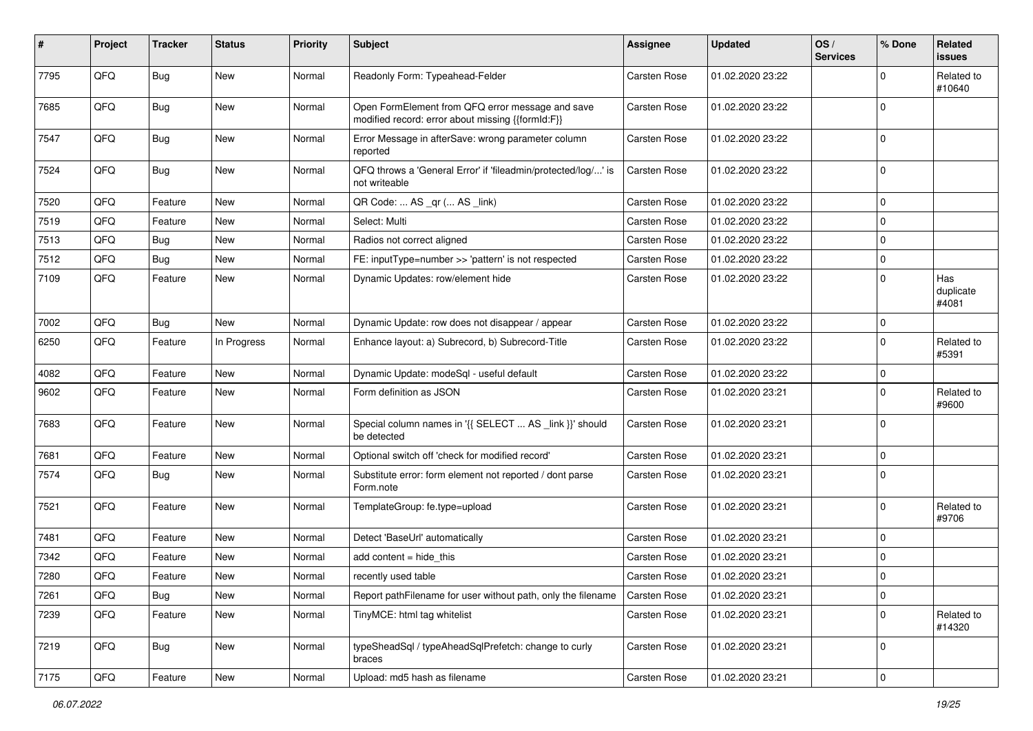| #    | Project | <b>Tracker</b> | <b>Status</b> | <b>Priority</b> | <b>Subject</b>                                                                                        | <b>Assignee</b>     | <b>Updated</b>   | OS/<br><b>Services</b> | % Done      | Related<br>issues         |
|------|---------|----------------|---------------|-----------------|-------------------------------------------------------------------------------------------------------|---------------------|------------------|------------------------|-------------|---------------------------|
| 7795 | QFQ     | <b>Bug</b>     | New           | Normal          | Readonly Form: Typeahead-Felder                                                                       | Carsten Rose        | 01.02.2020 23:22 |                        | $\Omega$    | Related to<br>#10640      |
| 7685 | QFQ     | Bug            | New           | Normal          | Open FormElement from QFQ error message and save<br>modified record: error about missing {{formId:F}} | <b>Carsten Rose</b> | 01.02.2020 23:22 |                        | $\mathbf 0$ |                           |
| 7547 | QFQ     | <b>Bug</b>     | <b>New</b>    | Normal          | Error Message in afterSave: wrong parameter column<br>reported                                        | <b>Carsten Rose</b> | 01.02.2020 23:22 |                        | $\Omega$    |                           |
| 7524 | QFQ     | Bug            | New           | Normal          | QFQ throws a 'General Error' if 'fileadmin/protected/log/' is<br>not writeable                        | <b>Carsten Rose</b> | 01.02.2020 23:22 |                        | $\mathbf 0$ |                           |
| 7520 | QFQ     | Feature        | <b>New</b>    | Normal          | QR Code:  AS _qr ( AS _link)                                                                          | <b>Carsten Rose</b> | 01.02.2020 23:22 |                        | $\mathbf 0$ |                           |
| 7519 | QFQ     | Feature        | <b>New</b>    | Normal          | Select: Multi                                                                                         | <b>Carsten Rose</b> | 01.02.2020 23:22 |                        | 0           |                           |
| 7513 | QFQ     | Bug            | <b>New</b>    | Normal          | Radios not correct aligned                                                                            | <b>Carsten Rose</b> | 01.02.2020 23:22 |                        | 0           |                           |
| 7512 | QFQ     | Bug            | New           | Normal          | FE: inputType=number >> 'pattern' is not respected                                                    | <b>Carsten Rose</b> | 01.02.2020 23:22 |                        | 0           |                           |
| 7109 | QFQ     | Feature        | New           | Normal          | Dynamic Updates: row/element hide                                                                     | Carsten Rose        | 01.02.2020 23:22 |                        | 0           | Has<br>duplicate<br>#4081 |
| 7002 | QFQ     | <b>Bug</b>     | New           | Normal          | Dynamic Update: row does not disappear / appear                                                       | Carsten Rose        | 01.02.2020 23:22 |                        | $\Omega$    |                           |
| 6250 | QFQ     | Feature        | In Progress   | Normal          | Enhance layout: a) Subrecord, b) Subrecord-Title                                                      | Carsten Rose        | 01.02.2020 23:22 |                        | $\Omega$    | Related to<br>#5391       |
| 4082 | QFQ     | Feature        | <b>New</b>    | Normal          | Dynamic Update: modeSql - useful default                                                              | <b>Carsten Rose</b> | 01.02.2020 23:22 |                        | 0           |                           |
| 9602 | QFQ     | Feature        | <b>New</b>    | Normal          | Form definition as JSON                                                                               | Carsten Rose        | 01.02.2020 23:21 |                        | $\Omega$    | Related to<br>#9600       |
| 7683 | QFQ     | Feature        | <b>New</b>    | Normal          | Special column names in '{{ SELECT  AS _link }}' should<br>be detected                                | <b>Carsten Rose</b> | 01.02.2020 23:21 |                        | $\Omega$    |                           |
| 7681 | QFQ     | Feature        | <b>New</b>    | Normal          | Optional switch off 'check for modified record'                                                       | <b>Carsten Rose</b> | 01.02.2020 23:21 |                        | $\Omega$    |                           |
| 7574 | QFQ     | Bug            | <b>New</b>    | Normal          | Substitute error: form element not reported / dont parse<br>Form.note                                 | Carsten Rose        | 01.02.2020 23:21 |                        | $\Omega$    |                           |
| 7521 | QFQ     | Feature        | <b>New</b>    | Normal          | TemplateGroup: fe.type=upload                                                                         | Carsten Rose        | 01.02.2020 23:21 |                        | $\Omega$    | Related to<br>#9706       |
| 7481 | QFQ     | Feature        | New           | Normal          | Detect 'BaseUrl' automatically                                                                        | <b>Carsten Rose</b> | 01.02.2020 23:21 |                        | 0           |                           |
| 7342 | QFQ     | Feature        | <b>New</b>    | Normal          | add content $=$ hide this                                                                             | <b>Carsten Rose</b> | 01.02.2020 23:21 |                        | $\mathbf 0$ |                           |
| 7280 | QFQ     | Feature        | <b>New</b>    | Normal          | recently used table                                                                                   | Carsten Rose        | 01.02.2020 23:21 |                        | $\Omega$    |                           |
| 7261 | QFQ     | <b>Bug</b>     | New           | Normal          | Report pathFilename for user without path, only the filename                                          | Carsten Rose        | 01.02.2020 23:21 |                        | 0           |                           |
| 7239 | QFQ     | Feature        | New           | Normal          | TinyMCE: html tag whitelist                                                                           | Carsten Rose        | 01.02.2020 23:21 |                        | $\mathbf 0$ | Related to<br>#14320      |
| 7219 | QFQ     | <b>Bug</b>     | New           | Normal          | typeSheadSql / typeAheadSqlPrefetch: change to curly<br>braces                                        | Carsten Rose        | 01.02.2020 23:21 |                        | $\Omega$    |                           |
| 7175 | QFQ     | Feature        | New           | Normal          | Upload: md5 hash as filename                                                                          | Carsten Rose        | 01.02.2020 23:21 |                        | 0           |                           |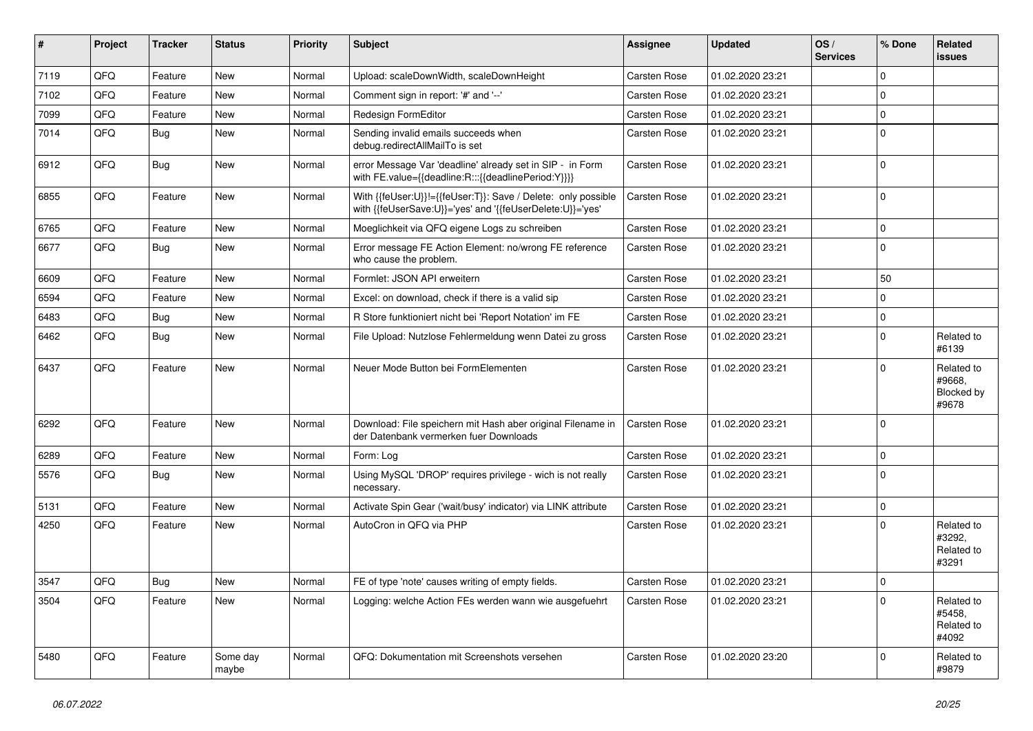| ∦    | Project | <b>Tracker</b> | <b>Status</b>     | <b>Priority</b> | <b>Subject</b>                                                                                                             | <b>Assignee</b>     | <b>Updated</b>   | OS/<br><b>Services</b> | % Done      | Related<br><b>issues</b>                    |
|------|---------|----------------|-------------------|-----------------|----------------------------------------------------------------------------------------------------------------------------|---------------------|------------------|------------------------|-------------|---------------------------------------------|
| 7119 | QFQ     | Feature        | <b>New</b>        | Normal          | Upload: scaleDownWidth, scaleDownHeight                                                                                    | <b>Carsten Rose</b> | 01.02.2020 23:21 |                        | $\Omega$    |                                             |
| 7102 | QFQ     | Feature        | <b>New</b>        | Normal          | Comment sign in report: '#' and '--'                                                                                       | <b>Carsten Rose</b> | 01.02.2020 23:21 |                        | $\mathbf 0$ |                                             |
| 7099 | QFQ     | Feature        | <b>New</b>        | Normal          | Redesign FormEditor                                                                                                        | <b>Carsten Rose</b> | 01.02.2020 23:21 |                        | $\mathbf 0$ |                                             |
| 7014 | QFQ     | Bug            | <b>New</b>        | Normal          | Sending invalid emails succeeds when<br>debug.redirectAllMailTo is set                                                     | <b>Carsten Rose</b> | 01.02.2020 23:21 |                        | $\Omega$    |                                             |
| 6912 | QFQ     | Bug            | New               | Normal          | error Message Var 'deadline' already set in SIP - in Form<br>with FE.value={{deadline:R:::{{deadlinePeriod:Y}}}}           | Carsten Rose        | 01.02.2020 23:21 |                        | $\mathbf 0$ |                                             |
| 6855 | QFQ     | Feature        | New               | Normal          | With {{feUser:U}}!={{feUser:T}}: Save / Delete: only possible<br>with {{feUserSave:U}}='yes' and '{{feUserDelete:U}}='yes' | Carsten Rose        | 01.02.2020 23:21 |                        | $\Omega$    |                                             |
| 6765 | QFQ     | Feature        | <b>New</b>        | Normal          | Moeglichkeit via QFQ eigene Logs zu schreiben                                                                              | Carsten Rose        | 01.02.2020 23:21 |                        | $\mathbf 0$ |                                             |
| 6677 | QFQ     | <b>Bug</b>     | <b>New</b>        | Normal          | Error message FE Action Element: no/wrong FE reference<br>who cause the problem.                                           | <b>Carsten Rose</b> | 01.02.2020 23:21 |                        | $\Omega$    |                                             |
| 6609 | QFQ     | Feature        | <b>New</b>        | Normal          | Formlet: JSON API erweitern                                                                                                | Carsten Rose        | 01.02.2020 23:21 |                        | 50          |                                             |
| 6594 | QFQ     | Feature        | New               | Normal          | Excel: on download, check if there is a valid sip                                                                          | <b>Carsten Rose</b> | 01.02.2020 23:21 |                        | $\Omega$    |                                             |
| 6483 | QFQ     | Bug            | New               | Normal          | R Store funktioniert nicht bei 'Report Notation' im FE                                                                     | <b>Carsten Rose</b> | 01.02.2020 23:21 |                        | $\mathbf 0$ |                                             |
| 6462 | QFQ     | Bug            | New               | Normal          | File Upload: Nutzlose Fehlermeldung wenn Datei zu gross                                                                    | Carsten Rose        | 01.02.2020 23:21 |                        | $\Omega$    | Related to<br>#6139                         |
| 6437 | QFQ     | Feature        | <b>New</b>        | Normal          | Neuer Mode Button bei FormElementen                                                                                        | <b>Carsten Rose</b> | 01.02.2020 23:21 |                        | $\Omega$    | Related to<br>#9668,<br>Blocked by<br>#9678 |
| 6292 | QFQ     | Feature        | <b>New</b>        | Normal          | Download: File speichern mit Hash aber original Filename in<br>der Datenbank vermerken fuer Downloads                      | <b>Carsten Rose</b> | 01.02.2020 23:21 |                        | $\Omega$    |                                             |
| 6289 | QFQ     | Feature        | <b>New</b>        | Normal          | Form: Log                                                                                                                  | <b>Carsten Rose</b> | 01.02.2020 23:21 |                        | $\mathbf 0$ |                                             |
| 5576 | QFQ     | Bug            | <b>New</b>        | Normal          | Using MySQL 'DROP' requires privilege - wich is not really<br>necessary.                                                   | <b>Carsten Rose</b> | 01.02.2020 23:21 |                        | $\Omega$    |                                             |
| 5131 | QFQ     | Feature        | <b>New</b>        | Normal          | Activate Spin Gear ('wait/busy' indicator) via LINK attribute                                                              | Carsten Rose        | 01.02.2020 23:21 |                        | $\mathbf 0$ |                                             |
| 4250 | QFQ     | Feature        | <b>New</b>        | Normal          | AutoCron in QFQ via PHP                                                                                                    | Carsten Rose        | 01.02.2020 23:21 |                        | $\Omega$    | Related to<br>#3292,<br>Related to<br>#3291 |
| 3547 | QFQ     | Bug            | <b>New</b>        | Normal          | FE of type 'note' causes writing of empty fields.                                                                          | <b>Carsten Rose</b> | 01.02.2020 23:21 |                        | $\mathbf 0$ |                                             |
| 3504 | QFQ     | Feature        | New               | Normal          | Logging: welche Action FEs werden wann wie ausgefuehrt                                                                     | Carsten Rose        | 01.02.2020 23:21 |                        | $\Omega$    | Related to<br>#5458,<br>Related to<br>#4092 |
| 5480 | QFQ     | Feature        | Some day<br>maybe | Normal          | QFQ: Dokumentation mit Screenshots versehen                                                                                | Carsten Rose        | 01.02.2020 23:20 |                        | $\Omega$    | Related to<br>#9879                         |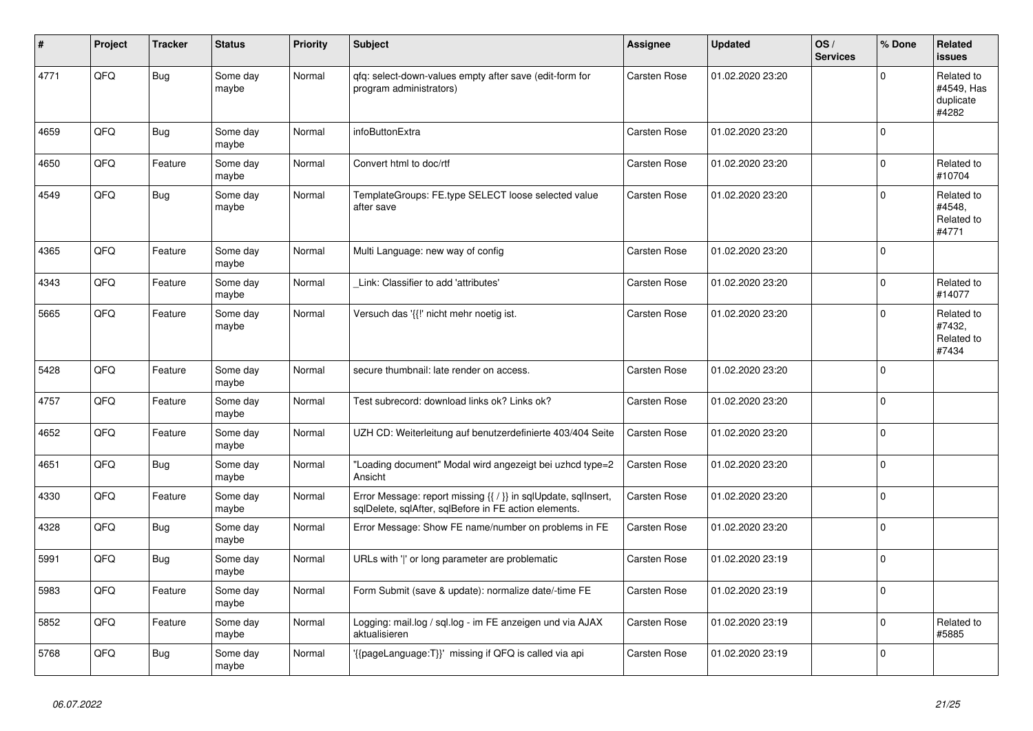| #    | Project | <b>Tracker</b> | <b>Status</b>     | <b>Priority</b> | <b>Subject</b>                                                                                                          | Assignee     | <b>Updated</b>   | OS/<br><b>Services</b> | % Done      | Related<br><b>issues</b>                       |
|------|---------|----------------|-------------------|-----------------|-------------------------------------------------------------------------------------------------------------------------|--------------|------------------|------------------------|-------------|------------------------------------------------|
| 4771 | QFQ     | Bug            | Some day<br>maybe | Normal          | gfg: select-down-values empty after save (edit-form for<br>program administrators)                                      | Carsten Rose | 01.02.2020 23:20 |                        | $\Omega$    | Related to<br>#4549, Has<br>duplicate<br>#4282 |
| 4659 | QFQ     | <b>Bug</b>     | Some day<br>maybe | Normal          | infoButtonExtra                                                                                                         | Carsten Rose | 01.02.2020 23:20 |                        | $\mathbf 0$ |                                                |
| 4650 | QFQ     | Feature        | Some day<br>maybe | Normal          | Convert html to doc/rtf                                                                                                 | Carsten Rose | 01.02.2020 23:20 |                        | $\mathbf 0$ | Related to<br>#10704                           |
| 4549 | QFQ     | Bug            | Some day<br>maybe | Normal          | TemplateGroups: FE.type SELECT loose selected value<br>after save                                                       | Carsten Rose | 01.02.2020 23:20 |                        | $\Omega$    | Related to<br>#4548,<br>Related to<br>#4771    |
| 4365 | QFQ     | Feature        | Some day<br>maybe | Normal          | Multi Language: new way of config                                                                                       | Carsten Rose | 01.02.2020 23:20 |                        | $\mathbf 0$ |                                                |
| 4343 | QFQ     | Feature        | Some day<br>maybe | Normal          | Link: Classifier to add 'attributes'                                                                                    | Carsten Rose | 01.02.2020 23:20 |                        | $\Omega$    | Related to<br>#14077                           |
| 5665 | QFQ     | Feature        | Some day<br>maybe | Normal          | Versuch das '{{!' nicht mehr noetig ist.                                                                                | Carsten Rose | 01.02.2020 23:20 |                        | $\Omega$    | Related to<br>#7432,<br>Related to<br>#7434    |
| 5428 | QFQ     | Feature        | Some day<br>maybe | Normal          | secure thumbnail: late render on access.                                                                                | Carsten Rose | 01.02.2020 23:20 |                        | $\Omega$    |                                                |
| 4757 | QFQ     | Feature        | Some day<br>maybe | Normal          | Test subrecord: download links ok? Links ok?                                                                            | Carsten Rose | 01.02.2020 23:20 |                        | $\Omega$    |                                                |
| 4652 | QFQ     | Feature        | Some day<br>maybe | Normal          | UZH CD: Weiterleitung auf benutzerdefinierte 403/404 Seite                                                              | Carsten Rose | 01.02.2020 23:20 |                        | $\mathbf 0$ |                                                |
| 4651 | QFQ     | <b>Bug</b>     | Some day<br>maybe | Normal          | "Loading document" Modal wird angezeigt bei uzhcd type=2<br>Ansicht                                                     | Carsten Rose | 01.02.2020 23:20 |                        | $\mathbf 0$ |                                                |
| 4330 | QFQ     | Feature        | Some day<br>maybe | Normal          | Error Message: report missing {{ / }} in sqlUpdate, sqlInsert,<br>sqlDelete, sqlAfter, sqlBefore in FE action elements. | Carsten Rose | 01.02.2020 23:20 |                        | $\mathbf 0$ |                                                |
| 4328 | QFQ     | <b>Bug</b>     | Some day<br>maybe | Normal          | Error Message: Show FE name/number on problems in FE                                                                    | Carsten Rose | 01.02.2020 23:20 |                        | $\Omega$    |                                                |
| 5991 | QFQ     | <b>Bug</b>     | Some day<br>maybe | Normal          | URLs with ' ' or long parameter are problematic                                                                         | Carsten Rose | 01.02.2020 23:19 |                        | $\mathbf 0$ |                                                |
| 5983 | QFQ     | Feature        | Some day<br>maybe | Normal          | Form Submit (save & update): normalize date/-time FE                                                                    | Carsten Rose | 01.02.2020 23:19 |                        | $\mathbf 0$ |                                                |
| 5852 | QFQ     | Feature        | Some day<br>maybe | Normal          | Logging: mail.log / sql.log - im FE anzeigen und via AJAX<br>aktualisieren                                              | Carsten Rose | 01.02.2020 23:19 |                        | $\mathbf 0$ | Related to<br>#5885                            |
| 5768 | QFQ     | Bug            | Some day<br>maybe | Normal          | '{{pageLanguage:T}}' missing if QFQ is called via api                                                                   | Carsten Rose | 01.02.2020 23:19 |                        | $\mathbf 0$ |                                                |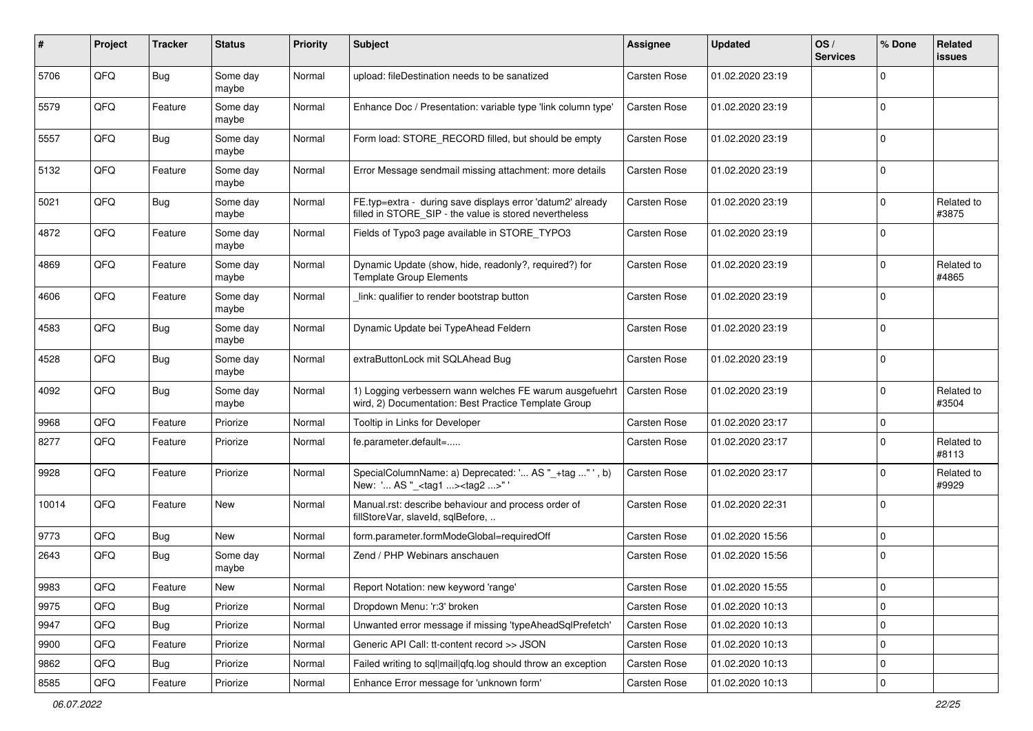| $\#$  | Project | <b>Tracker</b> | <b>Status</b>     | <b>Priority</b> | <b>Subject</b>                                                                                                       | <b>Assignee</b>     | <b>Updated</b>   | OS/<br><b>Services</b> | % Done      | Related<br>issues   |
|-------|---------|----------------|-------------------|-----------------|----------------------------------------------------------------------------------------------------------------------|---------------------|------------------|------------------------|-------------|---------------------|
| 5706  | QFQ     | Bug            | Some day<br>maybe | Normal          | upload: fileDestination needs to be sanatized                                                                        | Carsten Rose        | 01.02.2020 23:19 |                        | $\Omega$    |                     |
| 5579  | QFQ     | Feature        | Some day<br>maybe | Normal          | Enhance Doc / Presentation: variable type 'link column type'                                                         | <b>Carsten Rose</b> | 01.02.2020 23:19 |                        | $\mathbf 0$ |                     |
| 5557  | QFQ     | Bug            | Some day<br>maybe | Normal          | Form load: STORE_RECORD filled, but should be empty                                                                  | Carsten Rose        | 01.02.2020 23:19 |                        | $\Omega$    |                     |
| 5132  | QFQ     | Feature        | Some day<br>maybe | Normal          | Error Message sendmail missing attachment: more details                                                              | <b>Carsten Rose</b> | 01.02.2020 23:19 |                        | $\mathbf 0$ |                     |
| 5021  | QFQ     | <b>Bug</b>     | Some day<br>maybe | Normal          | FE.typ=extra - during save displays error 'datum2' already<br>filled in STORE_SIP - the value is stored nevertheless | <b>Carsten Rose</b> | 01.02.2020 23:19 |                        | $\mathbf 0$ | Related to<br>#3875 |
| 4872  | QFQ     | Feature        | Some day<br>maybe | Normal          | Fields of Typo3 page available in STORE_TYPO3                                                                        | Carsten Rose        | 01.02.2020 23:19 |                        | $\Omega$    |                     |
| 4869  | QFQ     | Feature        | Some day<br>maybe | Normal          | Dynamic Update (show, hide, readonly?, required?) for<br><b>Template Group Elements</b>                              | <b>Carsten Rose</b> | 01.02.2020 23:19 |                        | $\Omega$    | Related to<br>#4865 |
| 4606  | QFQ     | Feature        | Some day<br>maybe | Normal          | link: qualifier to render bootstrap button                                                                           | Carsten Rose        | 01.02.2020 23:19 |                        | $\Omega$    |                     |
| 4583  | QFQ     | Bug            | Some day<br>maybe | Normal          | Dynamic Update bei TypeAhead Feldern                                                                                 | <b>Carsten Rose</b> | 01.02.2020 23:19 |                        | $\Omega$    |                     |
| 4528  | QFQ     | Bug            | Some day<br>maybe | Normal          | extraButtonLock mit SQLAhead Bug                                                                                     | Carsten Rose        | 01.02.2020 23:19 |                        | $\Omega$    |                     |
| 4092  | QFQ     | Bug            | Some day<br>maybe | Normal          | 1) Logging verbessern wann welches FE warum ausgefuehrt<br>wird, 2) Documentation: Best Practice Template Group      | <b>Carsten Rose</b> | 01.02.2020 23:19 |                        | $\Omega$    | Related to<br>#3504 |
| 9968  | QFQ     | Feature        | Priorize          | Normal          | Tooltip in Links for Developer                                                                                       | <b>Carsten Rose</b> | 01.02.2020 23:17 |                        | $\mathbf 0$ |                     |
| 8277  | QFQ     | Feature        | Priorize          | Normal          | fe.parameter.default=                                                                                                | Carsten Rose        | 01.02.2020 23:17 |                        | $\Omega$    | Related to<br>#8113 |
| 9928  | QFQ     | Feature        | Priorize          | Normal          | SpecialColumnName: a) Deprecated: ' AS "_+tag " ', b)<br>New: ' AS "_ <tag1><tag2>"'</tag2></tag1>                   | <b>Carsten Rose</b> | 01.02.2020 23:17 |                        | $\Omega$    | Related to<br>#9929 |
| 10014 | QFQ     | Feature        | New               | Normal          | Manual.rst: describe behaviour and process order of<br>fillStoreVar, slaveId, sqlBefore,                             | <b>Carsten Rose</b> | 01.02.2020 22:31 |                        | $\Omega$    |                     |
| 9773  | QFQ     | <b>Bug</b>     | <b>New</b>        | Normal          | form.parameter.formModeGlobal=requiredOff                                                                            | <b>Carsten Rose</b> | 01.02.2020 15:56 |                        | $\Omega$    |                     |
| 2643  | QFQ     | Bug            | Some day<br>maybe | Normal          | Zend / PHP Webinars anschauen                                                                                        | Carsten Rose        | 01.02.2020 15:56 |                        | $\Omega$    |                     |
| 9983  | QFG     | i Feature      | New               | Normal          | Report Notation: new keyword 'range'                                                                                 | Carsten Rose        | 01.02.2020 15:55 |                        | U           |                     |
| 9975  | QFQ     | Bug            | Priorize          | Normal          | Dropdown Menu: 'r:3' broken                                                                                          | Carsten Rose        | 01.02.2020 10:13 |                        | 0           |                     |
| 9947  | QFQ     | <b>Bug</b>     | Priorize          | Normal          | Unwanted error message if missing 'typeAheadSqlPrefetch'                                                             | Carsten Rose        | 01.02.2020 10:13 |                        | 0           |                     |
| 9900  | QFQ     | Feature        | Priorize          | Normal          | Generic API Call: tt-content record >> JSON                                                                          | Carsten Rose        | 01.02.2020 10:13 |                        | $\mathbf 0$ |                     |
| 9862  | QFQ     | Bug            | Priorize          | Normal          | Failed writing to sgl mail gfg.log should throw an exception                                                         | Carsten Rose        | 01.02.2020 10:13 |                        | 0           |                     |
| 8585  | QFQ     | Feature        | Priorize          | Normal          | Enhance Error message for 'unknown form'                                                                             | Carsten Rose        | 01.02.2020 10:13 |                        | 0           |                     |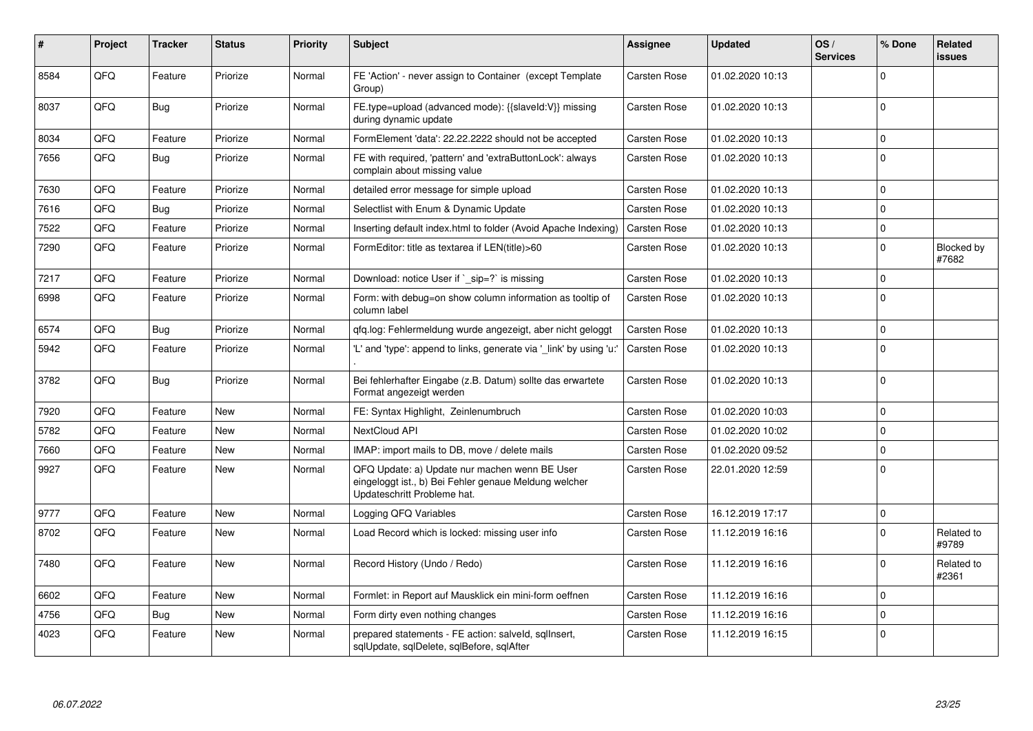| ∦    | Project | <b>Tracker</b> | <b>Status</b> | <b>Priority</b> | <b>Subject</b>                                                                                                                        | <b>Assignee</b>     | <b>Updated</b>   | OS/<br><b>Services</b> | % Done      | <b>Related</b><br>issues |
|------|---------|----------------|---------------|-----------------|---------------------------------------------------------------------------------------------------------------------------------------|---------------------|------------------|------------------------|-------------|--------------------------|
| 8584 | QFQ     | Feature        | Priorize      | Normal          | FE 'Action' - never assign to Container (except Template<br>Group)                                                                    | <b>Carsten Rose</b> | 01.02.2020 10:13 |                        | $\Omega$    |                          |
| 8037 | QFQ     | <b>Bug</b>     | Priorize      | Normal          | FE.type=upload (advanced mode): {{slaveId:V}} missing<br>during dynamic update                                                        | Carsten Rose        | 01.02.2020 10:13 |                        | $\Omega$    |                          |
| 8034 | QFQ     | Feature        | Priorize      | Normal          | FormElement 'data': 22.22.2222 should not be accepted                                                                                 | <b>Carsten Rose</b> | 01.02.2020 10:13 |                        | $\Omega$    |                          |
| 7656 | QFQ     | Bug            | Priorize      | Normal          | FE with required, 'pattern' and 'extraButtonLock': always<br>complain about missing value                                             | <b>Carsten Rose</b> | 01.02.2020 10:13 |                        | $\Omega$    |                          |
| 7630 | QFQ     | Feature        | Priorize      | Normal          | detailed error message for simple upload                                                                                              | Carsten Rose        | 01.02.2020 10:13 |                        | $\Omega$    |                          |
| 7616 | QFQ     | Bug            | Priorize      | Normal          | Selectlist with Enum & Dynamic Update                                                                                                 | <b>Carsten Rose</b> | 01.02.2020 10:13 |                        | $\Omega$    |                          |
| 7522 | QFQ     | Feature        | Priorize      | Normal          | Inserting default index.html to folder (Avoid Apache Indexing)                                                                        | <b>Carsten Rose</b> | 01.02.2020 10:13 |                        | $\mathbf 0$ |                          |
| 7290 | QFQ     | Feature        | Priorize      | Normal          | FormEditor: title as textarea if LEN(title)>60                                                                                        | Carsten Rose        | 01.02.2020 10:13 |                        | $\Omega$    | Blocked by<br>#7682      |
| 7217 | QFQ     | Feature        | Priorize      | Normal          | Download: notice User if ` sip=?` is missing                                                                                          | <b>Carsten Rose</b> | 01.02.2020 10:13 |                        | $\Omega$    |                          |
| 6998 | QFQ     | Feature        | Priorize      | Normal          | Form: with debug=on show column information as tooltip of<br>column label                                                             | <b>Carsten Rose</b> | 01.02.2020 10:13 |                        | $\Omega$    |                          |
| 6574 | QFQ     | Bug            | Priorize      | Normal          | gfg.log: Fehlermeldung wurde angezeigt, aber nicht geloggt                                                                            | <b>Carsten Rose</b> | 01.02.2020 10:13 |                        | $\mathbf 0$ |                          |
| 5942 | QFQ     | Feature        | Priorize      | Normal          | 'L' and 'type': append to links, generate via 'link' by using 'u:                                                                     | <b>Carsten Rose</b> | 01.02.2020 10:13 |                        | $\mathbf 0$ |                          |
| 3782 | QFQ     | Bug            | Priorize      | Normal          | Bei fehlerhafter Eingabe (z.B. Datum) sollte das erwartete<br>Format angezeigt werden                                                 | Carsten Rose        | 01.02.2020 10:13 |                        | 0           |                          |
| 7920 | QFQ     | Feature        | <b>New</b>    | Normal          | FE: Syntax Highlight, Zeinlenumbruch                                                                                                  | Carsten Rose        | 01.02.2020 10:03 |                        | $\Omega$    |                          |
| 5782 | QFQ     | Feature        | <b>New</b>    | Normal          | NextCloud API                                                                                                                         | Carsten Rose        | 01.02.2020 10:02 |                        | $\Omega$    |                          |
| 7660 | QFQ     | Feature        | <b>New</b>    | Normal          | IMAP: import mails to DB, move / delete mails                                                                                         | Carsten Rose        | 01.02.2020 09:52 |                        | $\Omega$    |                          |
| 9927 | QFQ     | Feature        | <b>New</b>    | Normal          | QFQ Update: a) Update nur machen wenn BE User<br>eingeloggt ist., b) Bei Fehler genaue Meldung welcher<br>Updateschritt Probleme hat. | Carsten Rose        | 22.01.2020 12:59 |                        | $\Omega$    |                          |
| 9777 | QFQ     | Feature        | <b>New</b>    | Normal          | Logging QFQ Variables                                                                                                                 | <b>Carsten Rose</b> | 16.12.2019 17:17 |                        | $\Omega$    |                          |
| 8702 | QFQ     | Feature        | <b>New</b>    | Normal          | Load Record which is locked: missing user info                                                                                        | <b>Carsten Rose</b> | 11.12.2019 16:16 |                        | $\Omega$    | Related to<br>#9789      |
| 7480 | QFQ     | Feature        | <b>New</b>    | Normal          | Record History (Undo / Redo)                                                                                                          | <b>Carsten Rose</b> | 11.12.2019 16:16 |                        | $\Omega$    | Related to<br>#2361      |
| 6602 | QFQ     | Feature        | <b>New</b>    | Normal          | Formlet: in Report auf Mausklick ein mini-form oeffnen                                                                                | <b>Carsten Rose</b> | 11.12.2019 16:16 |                        | $\Omega$    |                          |
| 4756 | QFQ     | Bug            | <b>New</b>    | Normal          | Form dirty even nothing changes                                                                                                       | Carsten Rose        | 11.12.2019 16:16 |                        | $\Omega$    |                          |
| 4023 | QFQ     | Feature        | <b>New</b>    | Normal          | prepared statements - FE action: salveld, sglInsert,<br>sqlUpdate, sqlDelete, sqlBefore, sqlAfter                                     | <b>Carsten Rose</b> | 11.12.2019 16:15 |                        | $\Omega$    |                          |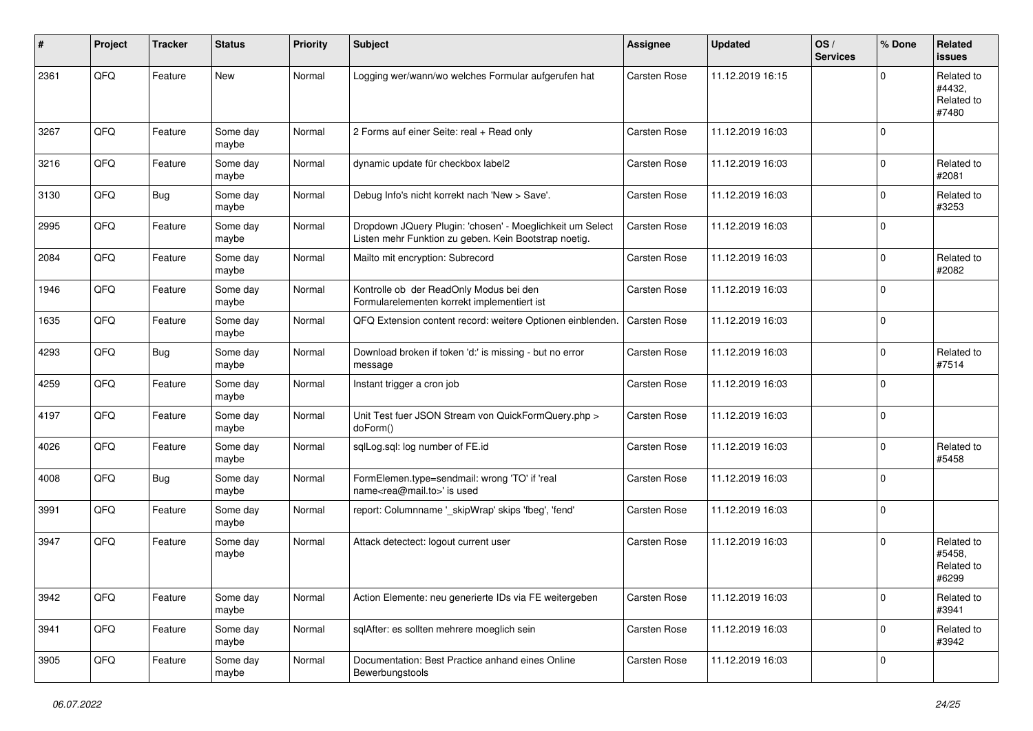| #    | Project | <b>Tracker</b> | <b>Status</b>     | <b>Priority</b> | <b>Subject</b>                                                                                                     | <b>Assignee</b>     | <b>Updated</b>   | OS/<br><b>Services</b> | % Done      | Related<br><b>issues</b>                    |
|------|---------|----------------|-------------------|-----------------|--------------------------------------------------------------------------------------------------------------------|---------------------|------------------|------------------------|-------------|---------------------------------------------|
| 2361 | QFQ     | Feature        | <b>New</b>        | Normal          | Logging wer/wann/wo welches Formular aufgerufen hat                                                                | <b>Carsten Rose</b> | 11.12.2019 16:15 |                        | $\Omega$    | Related to<br>#4432,<br>Related to<br>#7480 |
| 3267 | QFQ     | Feature        | Some day<br>maybe | Normal          | 2 Forms auf einer Seite: real + Read only                                                                          | Carsten Rose        | 11.12.2019 16:03 |                        | $\Omega$    |                                             |
| 3216 | QFQ     | Feature        | Some day<br>maybe | Normal          | dynamic update für checkbox label2                                                                                 | Carsten Rose        | 11.12.2019 16:03 |                        | $\mathbf 0$ | Related to<br>#2081                         |
| 3130 | QFQ     | Bug            | Some day<br>maybe | Normal          | Debug Info's nicht korrekt nach 'New > Save'.                                                                      | <b>Carsten Rose</b> | 11.12.2019 16:03 |                        | $\Omega$    | Related to<br>#3253                         |
| 2995 | QFQ     | Feature        | Some day<br>maybe | Normal          | Dropdown JQuery Plugin: 'chosen' - Moeglichkeit um Select<br>Listen mehr Funktion zu geben. Kein Bootstrap noetig. | <b>Carsten Rose</b> | 11.12.2019 16:03 |                        | $\mathbf 0$ |                                             |
| 2084 | QFQ     | Feature        | Some day<br>maybe | Normal          | Mailto mit encryption: Subrecord                                                                                   | <b>Carsten Rose</b> | 11.12.2019 16:03 |                        | $\Omega$    | Related to<br>#2082                         |
| 1946 | QFQ     | Feature        | Some day<br>maybe | Normal          | Kontrolle ob der ReadOnly Modus bei den<br>Formularelementen korrekt implementiert ist                             | <b>Carsten Rose</b> | 11.12.2019 16:03 |                        | $\mathbf 0$ |                                             |
| 1635 | QFQ     | Feature        | Some day<br>maybe | Normal          | QFQ Extension content record: weitere Optionen einblenden.                                                         | <b>Carsten Rose</b> | 11.12.2019 16:03 |                        | $\mathbf 0$ |                                             |
| 4293 | QFQ     | Bug            | Some day<br>maybe | Normal          | Download broken if token 'd:' is missing - but no error<br>message                                                 | Carsten Rose        | 11.12.2019 16:03 |                        | $\Omega$    | Related to<br>#7514                         |
| 4259 | QFQ     | Feature        | Some day<br>maybe | Normal          | Instant trigger a cron job                                                                                         | Carsten Rose        | 11.12.2019 16:03 |                        | $\mathbf 0$ |                                             |
| 4197 | QFQ     | Feature        | Some day<br>maybe | Normal          | Unit Test fuer JSON Stream von QuickFormQuery.php ><br>doForm()                                                    | <b>Carsten Rose</b> | 11.12.2019 16:03 |                        | 0           |                                             |
| 4026 | QFQ     | Feature        | Some day<br>maybe | Normal          | sqlLog.sql: log number of FE.id                                                                                    | Carsten Rose        | 11.12.2019 16:03 |                        | $\mathbf 0$ | Related to<br>#5458                         |
| 4008 | QFQ     | Bug            | Some day<br>maybe | Normal          | FormElemen.type=sendmail: wrong 'TO' if 'real<br>name <rea@mail.to>' is used</rea@mail.to>                         | <b>Carsten Rose</b> | 11.12.2019 16:03 |                        | $\Omega$    |                                             |
| 3991 | QFQ     | Feature        | Some day<br>maybe | Normal          | report: Columnname '_skipWrap' skips 'fbeg', 'fend'                                                                | <b>Carsten Rose</b> | 11.12.2019 16:03 |                        | $\mathbf 0$ |                                             |
| 3947 | QFQ     | Feature        | Some day<br>maybe | Normal          | Attack detectect: logout current user                                                                              | <b>Carsten Rose</b> | 11.12.2019 16:03 |                        | $\Omega$    | Related to<br>#5458,<br>Related to<br>#6299 |
| 3942 | QFQ     | Feature        | Some day<br>maybe | Normal          | Action Elemente: neu generierte IDs via FE weitergeben                                                             | Carsten Rose        | 11.12.2019 16:03 |                        | 0           | Related to<br>#3941                         |
| 3941 | QFQ     | Feature        | Some day<br>maybe | Normal          | sqlAfter: es sollten mehrere moeglich sein                                                                         | Carsten Rose        | 11.12.2019 16:03 |                        | $\mathbf 0$ | Related to<br>#3942                         |
| 3905 | QFQ     | Feature        | Some day<br>maybe | Normal          | Documentation: Best Practice anhand eines Online<br>Bewerbungstools                                                | Carsten Rose        | 11.12.2019 16:03 |                        | 0           |                                             |